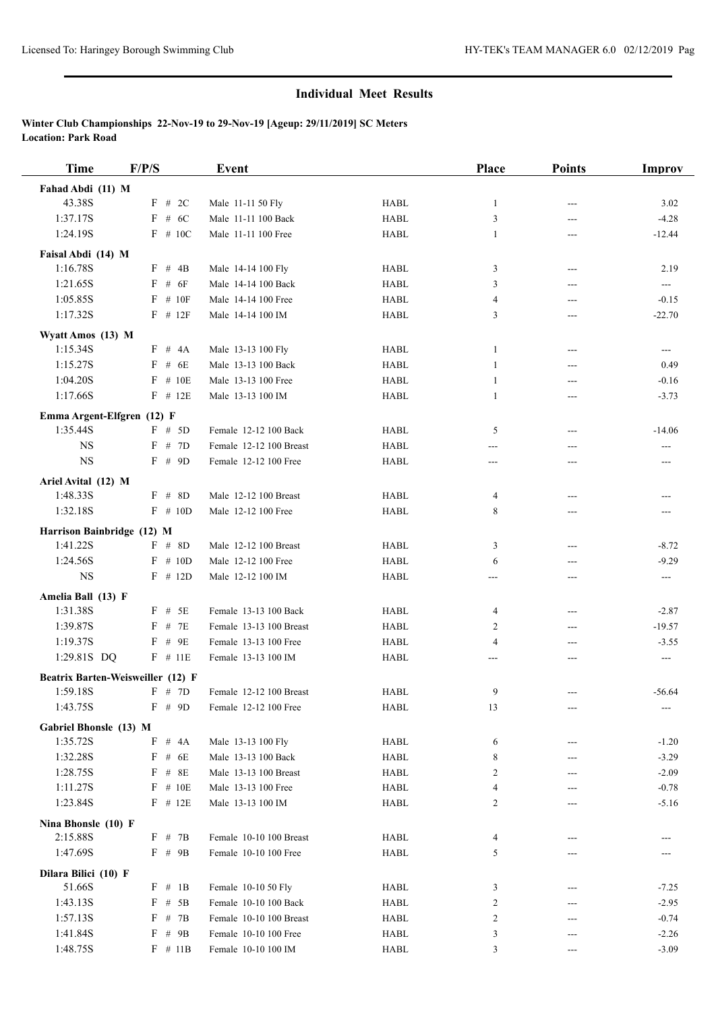| <b>Time</b>                       | F/P/S        | Event                   |             | Place          | <b>Points</b> | <b>Improv</b>            |
|-----------------------------------|--------------|-------------------------|-------------|----------------|---------------|--------------------------|
| Fahad Abdi (11) M                 |              |                         |             |                |               |                          |
| 43.38S                            | $F$ # 2C     | Male 11-11 50 Fly       | <b>HABL</b> | 1              | $---$         | 3.02                     |
| 1:37.17S                          | $F$ # 6C     | Male 11-11 100 Back     | <b>HABL</b> | 3              | $---$         | $-4.28$                  |
| 1:24.19S                          | $F$ # 10C    | Male 11-11 100 Free     | <b>HABL</b> | $\mathbf{1}$   | ---           | $-12.44$                 |
| Faisal Abdi (14) M                |              |                         |             |                |               |                          |
| 1:16.78S                          | F # 4B       | Male 14-14 100 Fly      | <b>HABL</b> | 3              | $---$         | 2.19                     |
| 1:21.65S                          | $F$ # $6F$   | Male 14-14 100 Back     | <b>HABL</b> | 3              | ---           | $\qquad \qquad -$        |
| 1:05.85S                          | $F$ # 10F    | Male 14-14 100 Free     | <b>HABL</b> | $\overline{4}$ | $---$         | $-0.15$                  |
| 1:17.32S                          | $F$ # 12 $F$ | Male 14-14 100 IM       | <b>HABL</b> | 3              | ---           | $-22.70$                 |
| Wyatt Amos (13) M                 |              |                         |             |                |               |                          |
| 1:15.34S                          | F # 4A       | Male 13-13 100 Fly      | <b>HABL</b> | 1              | $---$         | $\cdots$                 |
| 1:15.27S                          | $F$ # 6E     | Male 13-13 100 Back     | <b>HABL</b> | 1              | ---           | 0.49                     |
| 1:04.20S                          | $F$ # 10E    | Male 13-13 100 Free     | <b>HABL</b> | 1              | ---           | $-0.16$                  |
| 1:17.66S                          | $F$ # 12E    | Male 13-13 100 IM       | <b>HABL</b> | 1              | ---           | $-3.73$                  |
|                                   |              |                         |             |                |               |                          |
| Emma Argent-Elfgren (12) F        | $F \# 5D$    |                         |             |                |               |                          |
| 1:35.44S                          |              | Female 12-12 100 Back   | <b>HABL</b> | 5              | ---           | $-14.06$                 |
| <b>NS</b>                         | F # 7D       | Female 12-12 100 Breast | <b>HABL</b> | ---            | ---           | $\overline{\phantom{a}}$ |
| <b>NS</b>                         | $F$ # 9D     | Female 12-12 100 Free   | <b>HABL</b> | ---            | ---           | $---$                    |
| Ariel Avital (12) M               |              |                         |             |                |               |                          |
| 1:48.33S                          | $F$ # 8D     | Male 12-12 100 Breast   | <b>HABL</b> | 4              | ---           | ---                      |
| 1:32.18S                          | $F \# 10D$   | Male 12-12 100 Free     | <b>HABL</b> | 8              | ---           | ---                      |
| Harrison Bainbridge (12) M        |              |                         |             |                |               |                          |
| 1:41.22S                          | $F$ # 8D     | Male 12-12 100 Breast   | <b>HABL</b> | 3              | ---           | $-8.72$                  |
| 1:24.56S                          | $F \# 10D$   | Male 12-12 100 Free     | <b>HABL</b> | 6              | ---           | $-9.29$                  |
| <b>NS</b>                         | $F$ # 12D    | Male 12-12 100 IM       | <b>HABL</b> | ---            | ---           | $\sim$ $\sim$            |
| Amelia Ball (13) F                |              |                         |             |                |               |                          |
| 1:31.38S                          | $F$ # 5E     | Female 13-13 100 Back   | <b>HABL</b> | 4              | ---           | $-2.87$                  |
| 1:39.87S                          | $F$ # 7E     | Female 13-13 100 Breast | <b>HABL</b> | 2              | ---           | $-19.57$                 |
| 1:19.37S                          | $F$ # 9E     | Female 13-13 100 Free   | <b>HABL</b> | $\overline{4}$ | ---           | $-3.55$                  |
| 1:29.81S DQ                       | $F$ # 11E    | Female 13-13 100 IM     | <b>HABL</b> | ---            | ---           | $---$                    |
| Beatrix Barten-Weisweiller (12) F |              |                         |             |                |               |                          |
| 1:59.18S                          | $F \# 7D$    | Female 12-12 100 Breast | <b>HABL</b> | 9              | $---$         | $-56.64$                 |
| 1:43.75S                          | $F$ # 9D     | Female 12-12 100 Free   | HABL        | 13             |               | ---                      |
| Gabriel Bhonsle (13) M            |              |                         |             |                |               |                          |
| 1:35.72S                          | $F$ # $4A$   | Male 13-13 100 Fly      | <b>HABL</b> | 6              |               | $-1.20$                  |
| 1:32.28S                          | $F$ # 6E     | Male 13-13 100 Back     | HABL        | 8              | ---           | $-3.29$                  |
| 1:28.75S                          | $F$ # 8E     | Male 13-13 100 Breast   | HABL        | 2              |               | $-2.09$                  |
| 1:11.27S                          | $F$ # 10E    | Male 13-13 100 Free     | HABL        | 4              | ---           | $-0.78$                  |
| 1:23.84S                          | $F$ # 12E    | Male 13-13 100 IM       | <b>HABL</b> | 2              | ---           | $-5.16$                  |
|                                   |              |                         |             |                |               |                          |
| Nina Bhonsle (10) F<br>2:15.88S   | F # 7B       | Female 10-10 100 Breast | <b>HABL</b> | 4              | ---           |                          |
| 1:47.69S                          | F # 9B       | Female 10-10 100 Free   | <b>HABL</b> | 5              | ---           |                          |
|                                   |              |                         |             |                |               |                          |
| Dilara Bilici (10) F              |              |                         |             |                |               |                          |
| 51.66S                            | F # 1B       | Female 10-10 50 Fly     | <b>HABL</b> | 3              |               | $-7.25$                  |
| 1:43.13S                          | $F$ # 5B     | Female 10-10 100 Back   | <b>HABL</b> | 2              | ---           | $-2.95$                  |
| 1:57.13S                          | F # 7B       | Female 10-10 100 Breast | <b>HABL</b> | 2              | ---           | $-0.74$                  |
| 1:41.84S                          | F # 9B       | Female 10-10 100 Free   | HABL        | 3              |               | $-2.26$                  |
| 1:48.75S                          | $F \# 11B$   | Female 10-10 100 IM     | HABL        | 3              | ---           | $-3.09$                  |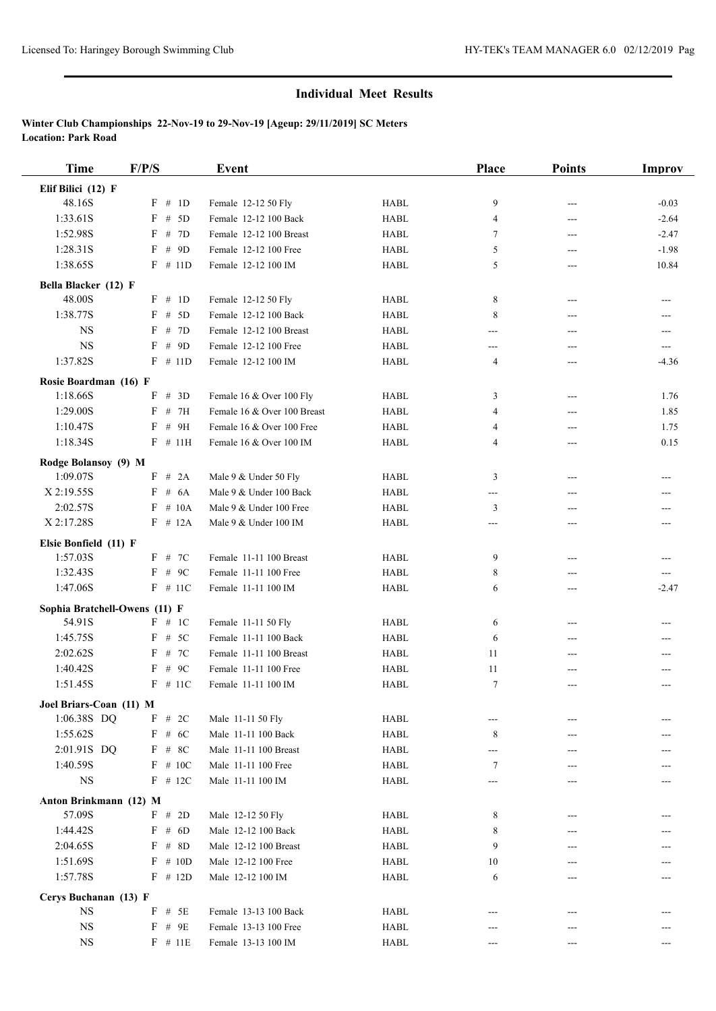| <b>Time</b>                       | F/P/S                | <b>Event</b>                                     |                            | Place          | <b>Points</b> | <b>Improv</b> |
|-----------------------------------|----------------------|--------------------------------------------------|----------------------------|----------------|---------------|---------------|
| Elif Bilici (12) F                |                      |                                                  |                            |                |               |               |
| 48.16S                            | F # 1D               | Female 12-12 50 Fly                              | <b>HABL</b>                | 9              | ---           | $-0.03$       |
| 1:33.61S                          | $F$ # 5D             | Female 12-12 100 Back                            | <b>HABL</b>                | $\overline{4}$ | ---           | $-2.64$       |
| 1:52.98S                          | F # 7D               | Female 12-12 100 Breast                          | <b>HABL</b>                | 7              | ---           | $-2.47$       |
| 1:28.31S                          | $F$ # 9D             | Female 12-12 100 Free                            | <b>HABL</b>                | 5              | ---           | $-1.98$       |
| 1:38.65S                          | $F$ # 11D            | Female 12-12 100 IM                              | <b>HABL</b>                | 5              | ---           | 10.84         |
| Bella Blacker (12) F              |                      |                                                  |                            |                |               |               |
| 48.00S                            | F # 1D               | Female 12-12 50 Fly                              | <b>HABL</b>                | 8              | $---$         | ---           |
| 1:38.77S                          | $F$ # 5D             | Female 12-12 100 Back                            | <b>HABL</b>                | 8              | ---           | ---           |
| <b>NS</b>                         | $F$ # 7D             | Female 12-12 100 Breast                          | <b>HABL</b>                | ---            | ---           | ---           |
| <b>NS</b>                         | $F$ # 9D             | Female 12-12 100 Free                            | <b>HABL</b>                | ---            | ---           | ---           |
| 1:37.82S                          | $F$ # 11D            | Female 12-12 100 IM                              | <b>HABL</b>                | 4              | ---           | $-4.36$       |
| Rosie Boardman (16) F             |                      |                                                  |                            |                |               |               |
| 1:18.66S                          | $F$ # 3D             | Female 16 & Over 100 Fly                         | <b>HABL</b>                | 3              | ---           | 1.76          |
| 1:29.00S                          | $F$ # 7H             | Female 16 & Over 100 Breast                      | <b>HABL</b>                | 4              | $---$         | 1.85          |
| 1:10.47S                          | F # 9H               | Female 16 & Over 100 Free                        | <b>HABL</b>                | 4              | ---           | 1.75          |
| 1:18.34S                          | $F$ # 11H            | Female 16 & Over 100 IM                          | <b>HABL</b>                | 4              | ---           | 0.15          |
| Rodge Bolansoy (9) M              |                      |                                                  |                            |                |               |               |
| 1:09.07S                          | F # 2A               | Male 9 & Under 50 Fly                            | <b>HABL</b>                | 3              | ---           | ---           |
| X 2:19.55S                        | # $6A$<br>$_{\rm F}$ | Male 9 & Under 100 Back                          | <b>HABL</b>                | ---            | ---           |               |
| 2:02.57S                          | $F$ # 10A            | Male 9 & Under 100 Free                          | <b>HABL</b>                | 3              | ---           |               |
| X 2:17.28S                        | $F$ # 12A            | Male 9 & Under 100 IM                            | <b>HABL</b>                | ---            | $---$         |               |
|                                   |                      |                                                  |                            |                |               |               |
| Elsie Bonfield (11) F<br>1:57.03S | $F$ # 7C             | Female 11-11 100 Breast                          | <b>HABL</b>                | 9              |               |               |
| 1:32.43S                          | $F$ # 9C             | Female 11-11 100 Free                            | <b>HABL</b>                | 8              | ---<br>---    | ---           |
| 1:47.06S                          | $F$ # 11C            | Female 11-11 100 IM                              | <b>HABL</b>                | 6              | ---           | $-2.47$       |
|                                   |                      |                                                  |                            |                |               |               |
| Sophia Bratchell-Owens (11) F     |                      |                                                  |                            |                |               |               |
| 54.91S<br>1:45.75S                | F # 1C<br>$F$ # 5C   | Female 11-11 50 Fly                              | <b>HABL</b>                | 6              | ---           | ---           |
| 2:02.62S                          | F # 7C               | Female 11-11 100 Back<br>Female 11-11 100 Breast | <b>HABL</b><br><b>HABL</b> | 6              | ---           |               |
| 1:40.42S                          | F<br>$#$ 9C          | Female 11-11 100 Free                            | <b>HABL</b>                | 11<br>11       | ---<br>$---$  |               |
| 1:51.45S                          | $F$ # 11C            | Female 11-11 100 IM                              | <b>HABL</b>                | 7              |               | ---           |
|                                   |                      |                                                  |                            |                |               |               |
| Joel Briars-Coan (11) M           |                      |                                                  |                            |                |               |               |
| 1:06.38S DQ                       | $F$ # 2C             | Male 11-11 50 Fly                                | <b>HABL</b>                | ---            |               |               |
| 1:55.62S                          | $F$ # 6C             | Male 11-11 100 Back                              | <b>HABL</b>                | 8              |               |               |
| 2:01.91S DQ                       | $F$ # 8C             | Male 11-11 100 Breast                            | HABL                       | ---            | ---           |               |
| 1:40.59S                          | $F$ # 10C            | Male 11-11 100 Free                              | <b>HABL</b>                | 7              |               |               |
| $_{\rm NS}$                       | $F$ # 12C            | Male 11-11 100 IM                                | HABL                       | ---            |               |               |
| Anton Brinkmann (12) M            |                      |                                                  |                            |                |               |               |
| 57.09S                            | F # 2D               | Male 12-12 50 Fly                                | <b>HABL</b>                | 8              |               |               |
| 1:44.42S                          | $F$ # 6D             | Male 12-12 100 Back                              | HABL                       | 8              |               |               |
| 2:04.65S                          | $F$ # 8D             | Male 12-12 100 Breast                            | <b>HABL</b>                | 9              | ---           |               |
| 1:51.69S                          | $F \# 10D$           | Male 12-12 100 Free                              | <b>HABL</b>                | 10             | ---           |               |
| 1:57.78S                          | $F$ # 12D            | Male 12-12 100 IM                                | <b>HABL</b>                | 6              |               |               |
| Cerys Buchanan (13) F             |                      |                                                  |                            |                |               |               |
| <b>NS</b>                         | $F$ # 5E             | Female 13-13 100 Back                            | <b>HABL</b>                |                | ---           |               |
| <b>NS</b>                         | $F$ # 9E             | Female 13-13 100 Free                            | HABL                       |                |               |               |
| <b>NS</b>                         | $F$ # 11E            | Female 13-13 100 IM                              | HABL                       | ---            |               |               |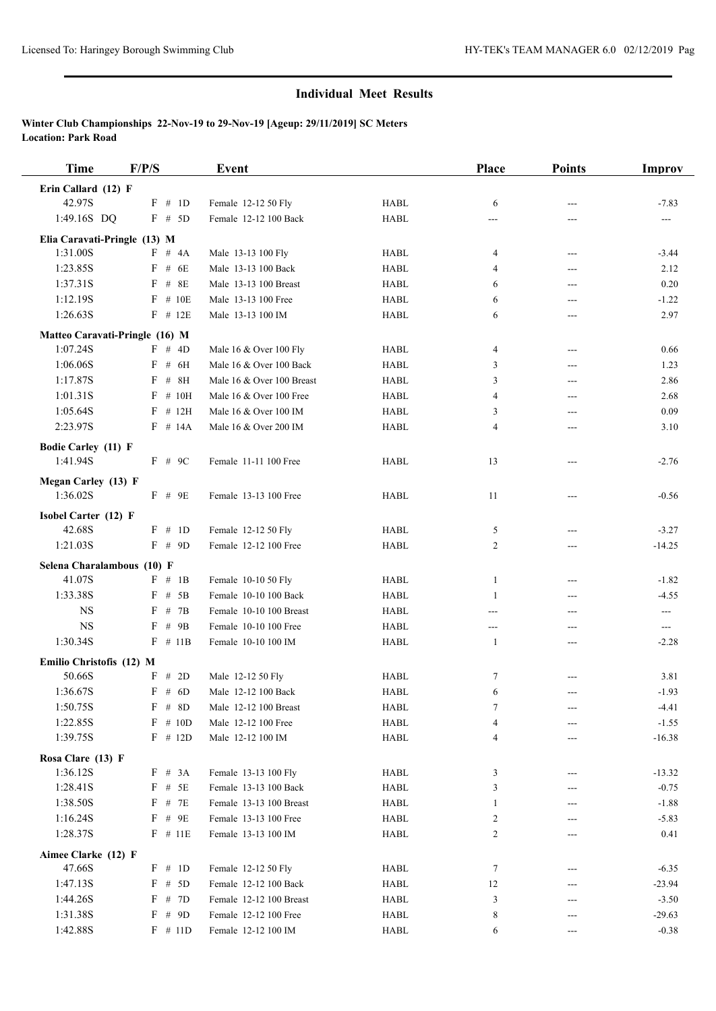| <b>Time</b>                            | F/P/S              | Event                     |             | Place | <b>Points</b> | <b>Improv</b>  |
|----------------------------------------|--------------------|---------------------------|-------------|-------|---------------|----------------|
| Erin Callard (12) F                    |                    |                           |             |       |               |                |
| 42.97S                                 | F # 1D             | Female 12-12 50 Fly       | <b>HABL</b> | 6     | $---$         | $-7.83$        |
| 1:49.16S DQ                            | $F$ # 5D           | Female 12-12 100 Back     | <b>HABL</b> | ---   |               | ---            |
| Elia Caravati-Pringle (13) M           |                    |                           |             |       |               |                |
| 1:31.00S                               | $F \# 4A$          | Male 13-13 100 Fly        | <b>HABL</b> | 4     | $---$         | $-3.44$        |
| 1:23.85S                               | $F$ # 6E           | Male 13-13 100 Back       | <b>HABL</b> | 4     | ---           | 2.12           |
| 1:37.31S                               | $F$ # 8E           | Male 13-13 100 Breast     | <b>HABL</b> | 6     | ---           | 0.20           |
| 1:12.19S                               | $F$ # 10E          | Male 13-13 100 Free       | <b>HABL</b> | 6     | ---           | $-1.22$        |
| 1:26.63S                               | $F$ # 12E          | Male 13-13 100 IM         | <b>HABL</b> | 6     | ---           | 2.97           |
| Matteo Caravati-Pringle (16) M         |                    |                           |             |       |               |                |
| 1:07.24S                               | F # 4D             | Male 16 & Over 100 Fly    | <b>HABL</b> | 4     | $---$         | 0.66           |
| 1:06.06S                               | $F$ # 6H           | Male 16 & Over 100 Back   | <b>HABL</b> | 3     | ---           | 1.23           |
| 1:17.87S                               | # 8H<br>$_{\rm F}$ | Male 16 & Over 100 Breast | <b>HABL</b> | 3     | ---           | 2.86           |
| 1:01.31S                               | $F$ # 10H          | Male 16 & Over 100 Free   | <b>HABL</b> | 4     | ---           | 2.68           |
| 1:05.64S                               | $F$ # 12H          | Male 16 & Over 100 IM     | <b>HABL</b> | 3     | $---$         | 0.09           |
| 2:23.97S                               | $F$ # 14A          | Male 16 & Over 200 IM     | <b>HABL</b> | 4     | ---           | 3.10           |
|                                        |                    |                           |             |       |               |                |
| <b>Bodie Carley (11) F</b><br>1:41.94S | $F$ # 9C           | Female 11-11 100 Free     | <b>HABL</b> | 13    | ---           | $-2.76$        |
|                                        |                    |                           |             |       |               |                |
| <b>Megan Carley (13) F</b>             |                    |                           |             |       |               |                |
| 1:36.02S                               | $F$ # 9E           | Female 13-13 100 Free     | <b>HABL</b> | 11    | $---$         | $-0.56$        |
| Isobel Carter (12) F                   |                    |                           |             |       |               |                |
| 42.68S                                 | F # 1D             | Female 12-12 50 Fly       | <b>HABL</b> | 5     | ---           | $-3.27$        |
| 1:21.03S                               | $F$ # 9D           | Female 12-12 100 Free     | <b>HABL</b> | 2     | ---           | $-14.25$       |
| Selena Charalambous (10) F             |                    |                           |             |       |               |                |
| 41.07S                                 | F # 1B             | Female 10-10 50 Fly       | <b>HABL</b> | 1     | ---           | $-1.82$        |
| 1:33.38S                               | $F$ # 5B           | Female 10-10 100 Back     | <b>HABL</b> | 1     | ---           | $-4.55$        |
| <b>NS</b>                              | # $7B$<br>F        | Female 10-10 100 Breast   | <b>HABL</b> | ---   | ---           | $\overline{a}$ |
| <b>NS</b>                              | $F$ # 9B           | Female 10-10 100 Free     | <b>HABL</b> | ---   | ---           | $\sim$ $\sim$  |
| 1:30.34S                               | $F$ # 11B          | Female 10-10 100 IM       | <b>HABL</b> | 1     | $---$         | $-2.28$        |
| Emilio Christofis (12) M               |                    |                           |             |       |               |                |
| 50.66S                                 | F # 2D             | Male 12-12 50 Fly         | <b>HABL</b> | 7     |               | 3.81           |
| 1:36.67S                               | $F \# 6D$          | Male 12-12 100 Back       | <b>HABL</b> | 6     | ---           | $-1.93$        |
| 1:50.75S                               | $F$ # 8D           | Male 12-12 100 Breast     | HABL        | 7     |               | $-4.41$        |
| 1:22.85S                               | $F$ # 10D          | Male 12-12 100 Free       | <b>HABL</b> | 4     |               | $-1.55$        |
| 1:39.75S                               | $F$ # 12D          | Male 12-12 100 IM         | <b>HABL</b> | 4     | ---           | $-16.38$       |
| Rosa Clare (13) F                      |                    |                           |             |       |               |                |
| 1:36.12S                               | F # 3A             | Female 13-13 100 Fly      | HABL        | 3     |               | $-13.32$       |
| 1:28.41S                               | $F$ # $5E$         | Female 13-13 100 Back     | HABL        | 3     | ---           | $-0.75$        |
| 1:38.50S                               | $F$ # 7E           | Female 13-13 100 Breast   | <b>HABL</b> | 1     | ---           | $-1.88$        |
| 1:16.24S                               | $F$ # 9E           | Female 13-13 100 Free     | HABL        | 2     |               | $-5.83$        |
| 1:28.37S                               | $F$ # 11E          | Female 13-13 100 IM       | HABL        | 2     | ---           | 0.41           |
|                                        |                    |                           |             |       |               |                |
| Aimee Clarke (12) F                    |                    |                           |             |       |               |                |
| 47.66S                                 | $F \# 1D$          | Female 12-12 50 Fly       | HABL        | 7     |               | $-6.35$        |
| 1:47.13S                               | F # 5D             | Female 12-12 100 Back     | HABL        | 12    | ---           | $-23.94$       |
| 1:44.26S                               | F # 7D             | Female 12-12 100 Breast   | HABL        | 3     | ---           | $-3.50$        |
| 1:31.38S                               | $F$ # 9D           | Female 12-12 100 Free     | HABL        | 8     | ---           | $-29.63$       |
| 1:42.88S                               | $F \# 11D$         | Female 12-12 100 IM       | HABL        | 6     | ---           | $-0.38$        |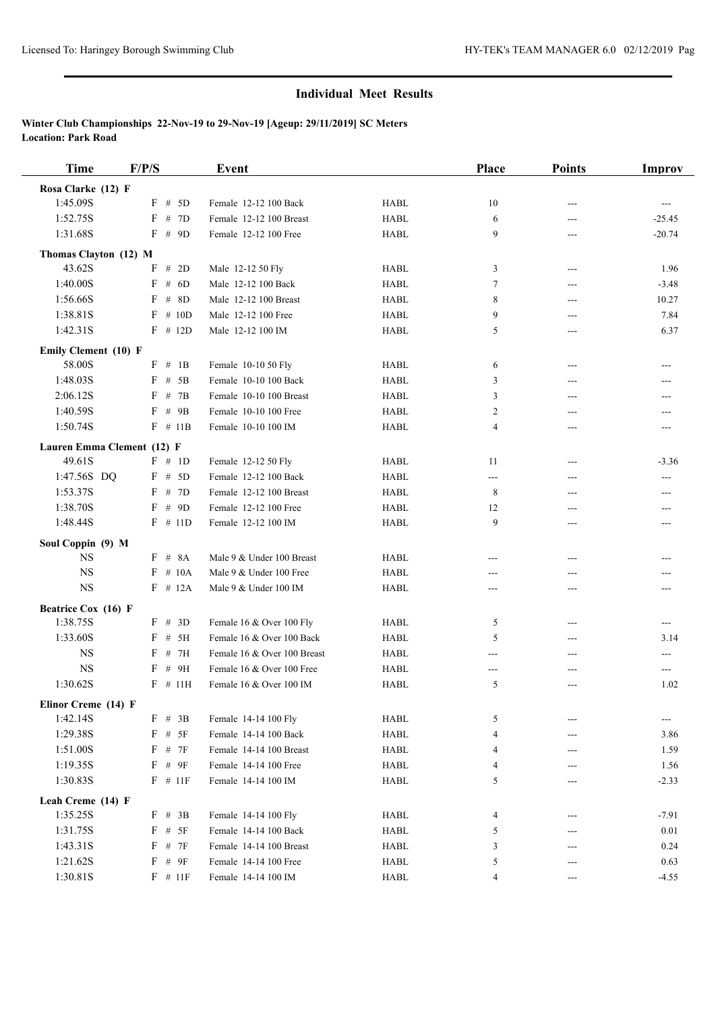| <b>Time</b>                     | F/P/S                  | <b>Event</b>                |             | Place  | <b>Points</b> | Improv      |
|---------------------------------|------------------------|-----------------------------|-------------|--------|---------------|-------------|
| Rosa Clarke (12) F              |                        |                             |             |        |               |             |
| 1:45.09S                        | $F$ # 5D               | Female 12-12 100 Back       | <b>HABL</b> | 10     | ---           | $---$       |
| 1:52.75S                        | F # 7D                 | Female 12-12 100 Breast     | <b>HABL</b> | 6      | ---           | $-25.45$    |
| 1:31.68S                        | $F$ # 9D               | Female 12-12 100 Free       | <b>HABL</b> | 9      | ---           | $-20.74$    |
| Thomas Clayton (12) M           |                        |                             |             |        |               |             |
| 43.62S                          | F # 2D                 | Male 12-12 50 Fly           | <b>HABL</b> | 3      | $---$         | 1.96        |
| 1:40.00S                        | $\mathbf{F}$<br># $6D$ | Male 12-12 100 Back         | <b>HABL</b> | 7      | $---$         | $-3.48$     |
| 1:56.66S                        | $F$ # 8D               | Male 12-12 100 Breast       | <b>HABL</b> | 8      | ---           | 10.27       |
| 1:38.81S                        | $F \# 10D$             | Male 12-12 100 Free         | <b>HABL</b> | 9      | $---$         | 7.84        |
| 1:42.31S                        | $F$ # 12D              | Male 12-12 100 IM           | <b>HABL</b> | 5      | ---           | 6.37        |
|                                 |                        |                             |             |        |               |             |
| Emily Clement (10) F            |                        |                             |             |        |               |             |
| 58.00S                          | F # 1B                 | Female 10-10 50 Fly         | <b>HABL</b> | 6      | ---           | ---         |
| 1:48.03S                        | $F$ # 5B               | Female 10-10 100 Back       | <b>HABL</b> | 3      | $---$         |             |
| 2:06.12S                        | $F$ # 7B               | Female 10-10 100 Breast     | <b>HABL</b> | 3      | ---           | ---         |
| 1:40.59S                        | $F$ # 9B               | Female 10-10 100 Free       | <b>HABL</b> | 2      | ---           |             |
| 1:50.74S                        | $F$ # 11B              | Female 10-10 100 IM         | <b>HABL</b> | 4      | ---           | ---         |
| Lauren Emma Clement (12) F      |                        |                             |             |        |               |             |
| 49.61S                          | F # 1D                 | Female 12-12 50 Fly         | <b>HABL</b> | 11     | ---           | $-3.36$     |
| 1:47.56S DQ                     | $F$ # 5D               | Female 12-12 100 Back       | <b>HABL</b> | $---$  | ---           | ---         |
| 1:53.37S                        | F # 7D                 | Female 12-12 100 Breast     | <b>HABL</b> | 8      | $---$         | ---         |
| 1:38.70S                        | $F$ # 9D               | Female 12-12 100 Free       | <b>HABL</b> | 12     | ---           | ---         |
| 1:48.44S                        | $F$ # 11D              | Female 12-12 100 IM         | <b>HABL</b> | 9      | ---           |             |
| Soul Coppin (9) M               |                        |                             |             |        |               |             |
| <b>NS</b>                       | $F$ # $8A$             | Male 9 & Under 100 Breast   | <b>HABL</b> | $---$  | $---$         | ---         |
| <b>NS</b>                       | $F$ # 10A              | Male 9 & Under 100 Free     | <b>HABL</b> | ---    | ---           |             |
| <b>NS</b>                       | $F$ # 12A              | Male 9 & Under 100 IM       | <b>HABL</b> | ---    | ---           |             |
| Beatrice Cox (16) F             |                        |                             |             |        |               |             |
| 1:38.75S                        | F # 3D                 | Female 16 & Over 100 Fly    | <b>HABL</b> | 5      | ---           | ---         |
| 1:33.60S                        | $F$ # 5H               | Female 16 & Over 100 Back   | <b>HABL</b> | 5      | ---           | 3.14        |
| <b>NS</b>                       | $F$ # 7H               | Female 16 & Over 100 Breast | <b>HABL</b> | ---    | ---           | ---         |
| <b>NS</b>                       | F # 9H                 | Female 16 & Over 100 Free   | <b>HABL</b> | $---$  |               | ---         |
| 1:30.62S                        | $F$ # 11H              | Female 16 & Over 100 IM     | <b>HABL</b> | 5      | ---           | 1.02        |
|                                 |                        |                             |             |        |               |             |
| Elinor Creme (14) F<br>1:42.14S | $F \# 3B$              | Female 14-14 100 Fly        | HABL        | 5      |               |             |
| 1:29.38S                        | $F$ # 5F               | Female 14-14 100 Back       | HABL        | 4      | ---           | ---<br>3.86 |
| 1:51.00S                        | $F$ # $7F$             | Female 14-14 100 Breast     |             |        |               |             |
| 1:19.35S                        | $F$ # 9F               | Female 14-14 100 Free       | HABL        | 4      | ---           | 1.59        |
| 1:30.83S                        | $F$ # 11F              | Female 14-14 100 IM         | HABL        | 4<br>5 |               | 1.56        |
|                                 |                        |                             | HABL        |        | ---           | $-2.33$     |
| Leah Creme (14) F               |                        |                             |             |        |               |             |
| 1:35.25S                        | $F$ # 3B               | Female 14-14 100 Fly        | <b>HABL</b> | 4      |               | $-7.91$     |
| 1:31.75S                        | $F$ # 5F               | Female 14-14 100 Back       | HABL        | 5      | ---           | 0.01        |
| 1:43.31S                        | $F$ # $7F$             | Female 14-14 100 Breast     | HABL        | 3      | ---           | 0.24        |
| 1:21.62S                        | $F$ # $9F$             | Female 14-14 100 Free       | HABL        | 5      | ---           | 0.63        |
| 1:30.81S                        | $F$ # 11F              | Female 14-14 100 IM         | <b>HABL</b> | 4      | $---$         | $-4.55$     |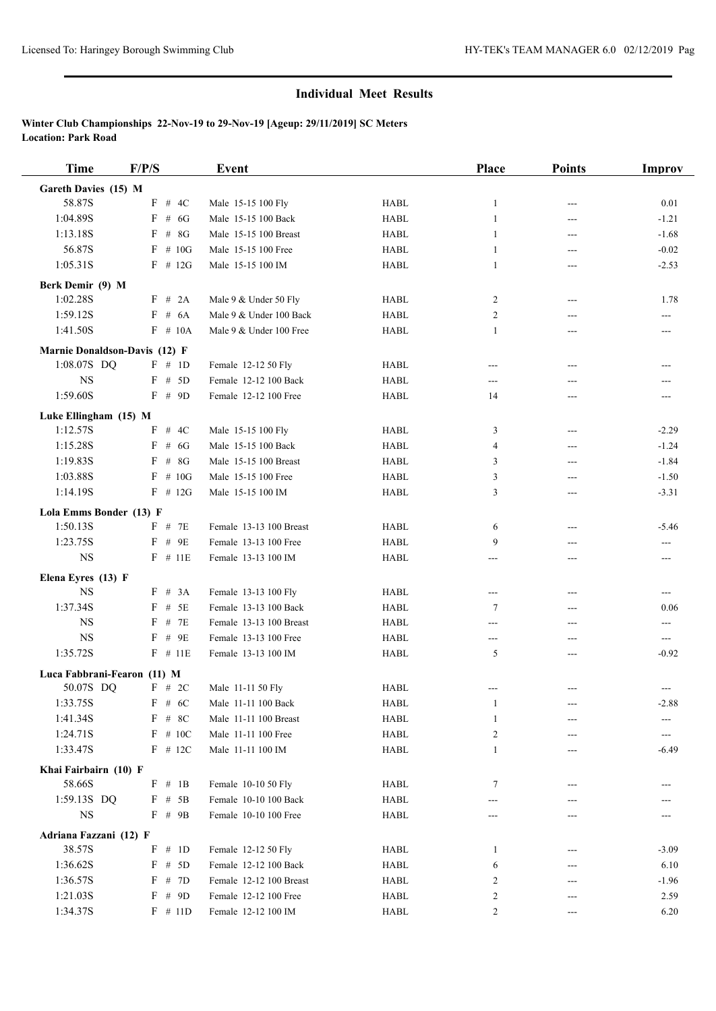| <b>Time</b>                   | F/P/S       | Event                   |             | Place          | <b>Points</b> | <b>Improv</b>       |
|-------------------------------|-------------|-------------------------|-------------|----------------|---------------|---------------------|
| Gareth Davies (15) M          |             |                         |             |                |               |                     |
| 58.87S                        | $F$ # 4C    | Male 15-15 100 Fly      | <b>HABL</b> | 1              | ---           | 0.01                |
| 1:04.89S                      | # $6G$<br>F | Male 15-15 100 Back     | <b>HABL</b> | $\mathbf{1}$   | ---           | $-1.21$             |
| 1:13.18S                      | $F$ # 8G    | Male 15-15 100 Breast   | <b>HABL</b> | 1              | $---$         | $-1.68$             |
| 56.87S                        | $F \# 10G$  | Male 15-15 100 Free     | <b>HABL</b> | 1              | ---           | $-0.02$             |
| 1:05.31S                      | $F$ # 12G   | Male 15-15 100 IM       | <b>HABL</b> | 1              | ---           | $-2.53$             |
| Berk Demir (9) M              |             |                         |             |                |               |                     |
| 1:02.28S                      | F # 2A      | Male 9 & Under 50 Fly   | <b>HABL</b> | 2              | $---$         | 1.78                |
| 1:59.12S                      | $F$ # 6A    | Male 9 & Under 100 Back | <b>HABL</b> | 2              | ---           | ---                 |
| 1:41.50S                      | $F \# 10A$  | Male 9 & Under 100 Free | <b>HABL</b> | 1              | ---           | $---$               |
| Marnie Donaldson-Davis (12) F |             |                         |             |                |               |                     |
| 1:08.07S DQ                   | F # 1D      | Female 12-12 50 Fly     | <b>HABL</b> | ---            | $---$         | ---                 |
| $_{\rm NS}$                   | $F$ # 5D    | Female 12-12 100 Back   | <b>HABL</b> | ---            | ---           |                     |
| 1:59.60S                      | $F \# 9D$   | Female 12-12 100 Free   | <b>HABL</b> | 14             | ---           | $---$               |
|                               |             |                         |             |                |               |                     |
| Luke Ellingham (15) M         |             |                         |             |                |               |                     |
| 1:12.57S                      | F # 4C      | Male 15-15 100 Fly      | <b>HABL</b> | 3              | $---$         | $-2.29$             |
| 1:15.28S                      | $F$ # 6G    | Male 15-15 100 Back     | <b>HABL</b> | $\overline{4}$ | ---           | $-1.24$             |
| 1:19.83S                      | $F$ # 8G    | Male 15-15 100 Breast   | <b>HABL</b> | 3              | ---           | $-1.84$             |
| 1:03.88S                      | $F \# 10G$  | Male 15-15 100 Free     | <b>HABL</b> | 3              | ---           | $-1.50$             |
| 1:14.19S                      | $F$ # 12G   | Male 15-15 100 IM       | <b>HABL</b> | 3              | ---           | $-3.31$             |
| Lola Emms Bonder (13) F       |             |                         |             |                |               |                     |
| 1:50.13S                      | $F$ # 7E    | Female 13-13 100 Breast | <b>HABL</b> | 6              | ---           | $-5.46$             |
| 1:23.75S                      | F # 9E      | Female 13-13 100 Free   | <b>HABL</b> | 9              | ---           | $---$               |
| <b>NS</b>                     | $F$ # 11E   | Female 13-13 100 IM     | <b>HABL</b> | ---            | ---           | ---                 |
| Elena Eyres (13) F            |             |                         |             |                |               |                     |
| <b>NS</b>                     | F # 3A      | Female 13-13 100 Fly    | <b>HABL</b> | ---            | ---           | ---                 |
| 1:37.34S                      | $F$ # 5E    | Female 13-13 100 Back   | <b>HABL</b> | 7              | ---           | 0.06                |
| $_{\rm NS}$                   | # 7E<br>F   | Female 13-13 100 Breast | <b>HABL</b> | ---            | ---           | ---                 |
| <b>NS</b>                     | $F$ # 9E    | Female 13-13 100 Free   | <b>HABL</b> | ---            | ---           | $\qquad \qquad - -$ |
| 1:35.72S                      | $F$ # 11E   | Female 13-13 100 IM     | <b>HABL</b> | 5              | ---           | $-0.92$             |
| Luca Fabbrani-Fearon (11) M   |             |                         |             |                |               |                     |
| 50.07S DQ                     | F # 2C      | Male 11-11 50 Fly       | <b>HABL</b> | ---            | $---$         | $---$               |
| 1:33.75S                      | $F \# 6C$   | Male 11-11 100 Back     | HABL        | 1              | ---           | $-2.88$             |
| 1:41.34S                      | $F$ # 8C    | Male 11-11 100 Breast   | HABL        | 1              |               |                     |
| 1:24.71S                      | $F$ # 10C   | Male 11-11 100 Free     | HABL        | $\overline{2}$ |               | ---                 |
| 1:33.47S                      | $F$ # 12C   | Male 11-11 100 IM       | <b>HABL</b> | 1              |               | $-6.49$             |
| Khai Fairbairn (10) F         |             |                         |             |                |               |                     |
| 58.66S                        | F # 1B      | Female 10-10 50 Fly     | HABL        | 7              |               |                     |
| 1:59.13S DQ                   | F # 5B      | Female 10-10 100 Back   | HABL        |                |               |                     |
| $_{\rm NS}$                   | $F$ # 9B    | Female 10-10 100 Free   | <b>HABL</b> | ---            | ---           | ---                 |
|                               |             |                         |             |                |               |                     |
| Adriana Fazzani (12) F        |             |                         |             |                |               |                     |
| 38.57S                        | $F \# 1D$   | Female 12-12 50 Fly     | HABL        | 1              |               | $-3.09$             |
| 1:36.62S                      | F # 5D      | Female 12-12 100 Back   | <b>HABL</b> | 6              |               | 6.10                |
| 1:36.57S                      | F # 7D      | Female 12-12 100 Breast | HABL        | 2              | ---           | $-1.96$             |
| 1:21.03S                      | F # 9D      | Female 12-12 100 Free   | HABL        | 2              |               | 2.59                |
| 1:34.37S                      | $F \# 11D$  | Female 12-12 100 IM     | <b>HABL</b> | 2              | ---           | 6.20                |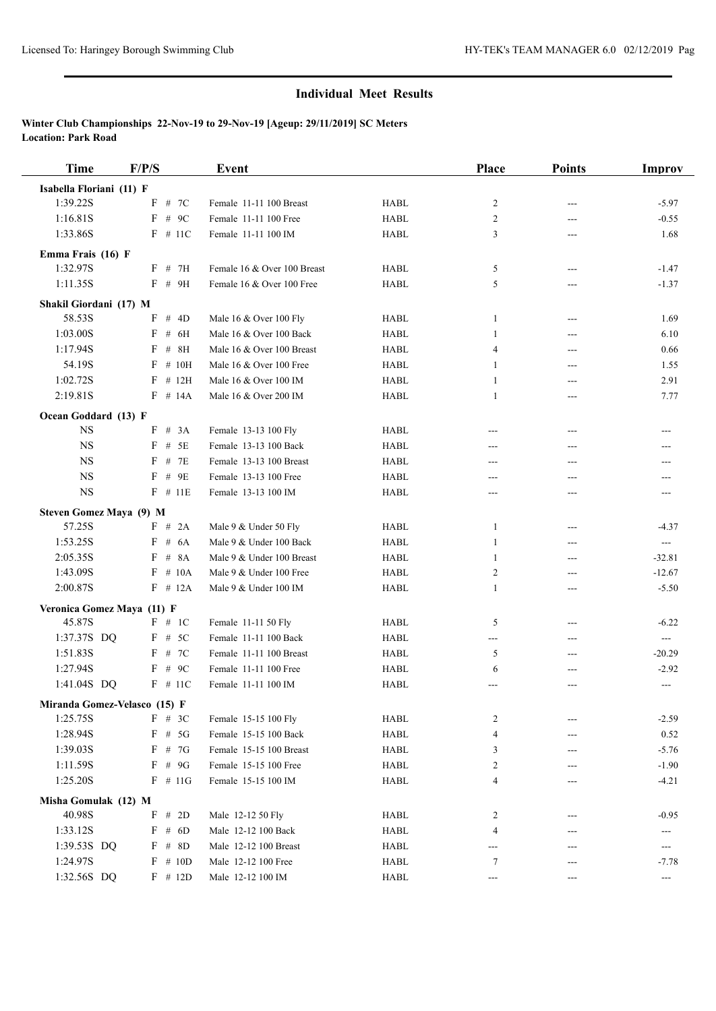| <b>Time</b>                              | F/P/S       | Event                       |             | Place          | <b>Points</b> | <b>Improv</b>                       |
|------------------------------------------|-------------|-----------------------------|-------------|----------------|---------------|-------------------------------------|
| Isabella Floriani (11) F                 |             |                             |             |                |               |                                     |
| 1:39.22S                                 | # 7C<br>F   | Female 11-11 100 Breast     | <b>HABL</b> | 2              | ---           | $-5.97$                             |
| 1:16.81S                                 | F<br># $9C$ | Female 11-11 100 Free       | <b>HABL</b> | 2              | ---           | $-0.55$                             |
| 1:33.86S                                 | $F$ # 11C   | Female 11-11 100 IM         | <b>HABL</b> | 3              | $---$         | 1.68                                |
| Emma Frais (16) F                        |             |                             |             |                |               |                                     |
| 1:32.97S                                 | $F$ # 7H    | Female 16 & Over 100 Breast | <b>HABL</b> | 5              | $---$         | $-1.47$                             |
| 1:11.35S                                 | $F$ # 9H    | Female 16 & Over 100 Free   | <b>HABL</b> | 5              | ---           | $-1.37$                             |
|                                          |             |                             |             |                |               |                                     |
| Shakil Giordani (17) M                   | # $4D$<br>F |                             |             | $\mathbf{1}$   |               |                                     |
| 58.53S<br>1:03.00S                       | F<br># 6H   | Male 16 & Over 100 Fly      | <b>HABL</b> |                | ---           | 1.69                                |
|                                          |             | Male 16 & Over 100 Back     | <b>HABL</b> | 1              | $---$         | 6.10                                |
| 1:17.94S                                 | # $8H$<br>F | Male 16 & Over 100 Breast   | <b>HABL</b> | $\overline{4}$ | $---$         | 0.66                                |
| 54.19S                                   | # 10H<br>F  | Male 16 & Over 100 Free     | <b>HABL</b> | 1              | ---           | 1.55                                |
| 1:02.72S                                 | $F$ # 12H   | Male 16 & Over 100 IM       | <b>HABL</b> | 1              | ---           | 2.91                                |
| 2:19.81S                                 | $F \# 14A$  | Male 16 & Over 200 IM       | <b>HABL</b> | 1              | ---           | 7.77                                |
| Ocean Goddard (13) F                     |             |                             |             |                |               |                                     |
| <b>NS</b>                                | F # 3A      | Female 13-13 100 Fly        | HABL        | ---            | $---$         | ---                                 |
| <b>NS</b>                                | $F$ # 5E    | Female 13-13 100 Back       | <b>HABL</b> | ---            | ---           | ---                                 |
| <b>NS</b>                                | F<br># 7E   | Female 13-13 100 Breast     | <b>HABL</b> | ---            | ---           | ---                                 |
| <b>NS</b>                                | F<br># 9E   | Female 13-13 100 Free       | <b>HABL</b> | ---            | ---           | ---                                 |
| $_{\rm NS}$                              | $F$ # 11E   | Female 13-13 100 IM         | <b>HABL</b> | $---$          | ---           | $---$                               |
| Steven Gomez Maya (9) M                  |             |                             |             |                |               |                                     |
| 57.25S                                   | F # 2A      | Male 9 & Under 50 Fly       | <b>HABL</b> | 1              | ---           | $-4.37$                             |
| 1:53.25S                                 | $F \# 6A$   | Male 9 & Under 100 Back     | <b>HABL</b> | $\mathbf{1}$   | ---           | $\sim$ $\sim$                       |
| 2:05.35S                                 | # 8A<br>F   | Male 9 & Under 100 Breast   | <b>HABL</b> | 1              | ---           | $-32.81$                            |
| 1:43.09S                                 | F<br># 10A  | Male 9 & Under 100 Free     | <b>HABL</b> | 2              | ---           | $-12.67$                            |
| 2:00.87S                                 | $F$ # 12A   | Male 9 & Under 100 IM       | <b>HABL</b> | $\mathbf{1}$   | ---           | $-5.50$                             |
| Veronica Gomez Maya (11) F               |             |                             |             |                |               |                                     |
| 45.87S                                   | F # 1C      | Female 11-11 50 Fly         | <b>HABL</b> | 5              | ---           | $-6.22$                             |
| 1:37.37S DQ                              | F # 5C      | Female 11-11 100 Back       | <b>HABL</b> | ---            | ---           | $\qquad \qquad \cdots$              |
| 1:51.83S                                 | $F$ # 7C    | Female 11-11 100 Breast     | <b>HABL</b> | 5              | ---           | $-20.29$                            |
| 1:27.94S                                 | F # 9C      | Female 11-11 100 Free       | <b>HABL</b> | 6              |               | $-2.92$                             |
| 1:41.04S DQ                              | $F$ # 11C   | Female 11-11 100 IM         | <b>HABL</b> | ---            | ---           | $\hspace{0.05cm}---\hspace{0.05cm}$ |
|                                          |             |                             |             |                |               |                                     |
| Miranda Gomez-Velasco (15) F<br>1:25.75S | $F$ # 3C    | Female 15-15 100 Fly        | HABL        | 2              |               | $-2.59$                             |
| 1:28.94S                                 | $F$ # 5G    | Female 15-15 100 Back       | HABL        | 4              | ---           | 0.52                                |
| 1:39.03S                                 | F<br># 7G   | Female 15-15 100 Breast     | HABL        | 3              | ---           | $-5.76$                             |
| 1:11.59S                                 | F<br># 9G   | Female 15-15 100 Free       | HABL        | $\overline{c}$ |               | $-1.90$                             |
| 1:25.20S                                 | $F \# 11G$  | Female 15-15 100 IM         | HABL        | $\overline{4}$ |               | $-4.21$                             |
|                                          |             |                             |             |                |               |                                     |
| Misha Gomulak (12) M                     |             |                             |             |                |               |                                     |
| 40.98S                                   | F # 2D      | Male 12-12 50 Fly           | <b>HABL</b> | 2              |               | $-0.95$                             |
| 1:33.12S                                 | F # 6D      | Male 12-12 100 Back         | HABL        | 4              | ---           | ---                                 |
| 1:39.53S DQ                              | F # 8D      | Male 12-12 100 Breast       | HABL        | ---            | ---           | $\hspace{0.05cm} \ldots$            |
| 1:24.97S                                 | # 10D<br>F  | Male 12-12 100 Free         | HABL        | 7              | ---           | $-7.78$                             |
| 1:32.56S DQ                              | $F$ # 12D   | Male 12-12 100 IM           | HABL        | ---            | $---$         | $\hspace{0.05cm} \ldots$            |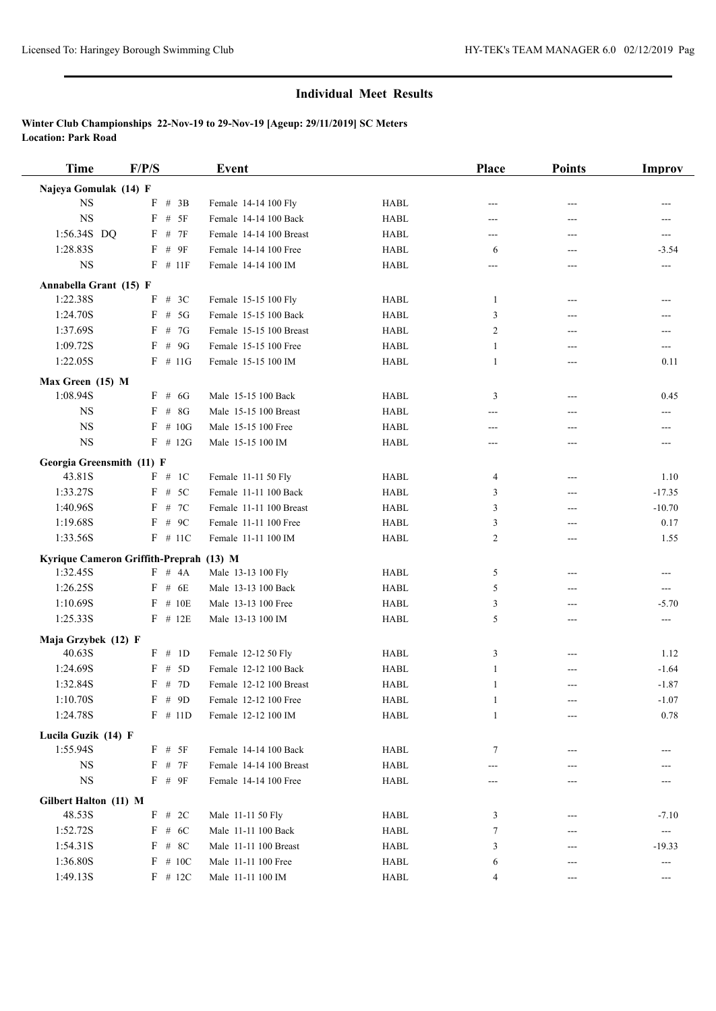| <b>Time</b>               | F/P/S                                   | Event                   |             | Place        | <b>Points</b> | Improv                    |
|---------------------------|-----------------------------------------|-------------------------|-------------|--------------|---------------|---------------------------|
| Najeya Gomulak (14) F     |                                         |                         |             |              |               |                           |
| <b>NS</b>                 | F # 3B                                  | Female 14-14 100 Fly    | <b>HABL</b> | ---          | ---           |                           |
| $_{\rm NS}$               | F<br># 5F                               | Female 14-14 100 Back   | <b>HABL</b> | ---          | ---           | $---$                     |
| 1:56.34S DQ               | F # 7F                                  | Female 14-14 100 Breast | <b>HABL</b> | ---          | ---           | ---                       |
| 1:28.83S                  | F # 9F                                  | Female 14-14 100 Free   | <b>HABL</b> | 6            | ---           | $-3.54$                   |
| <b>NS</b>                 | $F$ # 11F                               | Female 14-14 100 IM     | <b>HABL</b> | ---          | ---           | ---                       |
| Annabella Grant (15) F    |                                         |                         |             |              |               |                           |
| 1:22.38S                  | F # 3C                                  | Female 15-15 100 Fly    | <b>HABL</b> | 1            | $---$         | ---                       |
| 1:24.70S                  | $F$ # 5G                                | Female 15-15 100 Back   | <b>HABL</b> | 3            | ---           | ---                       |
| 1:37.69S                  | $F \# 7G$                               | Female 15-15 100 Breast | <b>HABL</b> | 2            | ---           | $---$                     |
| 1:09.72S                  | $F$ # 9G                                | Female 15-15 100 Free   | <b>HABL</b> | 1            | ---           | ---                       |
| 1:22.05S                  | $F$ # 11G                               | Female 15-15 100 IM     | <b>HABL</b> | 1            | ---           | 0.11                      |
| Max Green (15) M          |                                         |                         |             |              |               |                           |
| 1:08.94S                  | $F$ # 6G                                | Male 15-15 100 Back     | <b>HABL</b> | 3            | $---$         | 0.45                      |
| <b>NS</b>                 | $F$ # 8G                                | Male 15-15 100 Breast   | <b>HABL</b> | ---          | ---           | ---                       |
| <b>NS</b>                 | $F \# 10G$                              | Male 15-15 100 Free     | <b>HABL</b> | ---          | ---           | $---$                     |
| <b>NS</b>                 | $F$ # 12G                               | Male 15-15 100 IM       | <b>HABL</b> | ---          | ---           | ---                       |
| Georgia Greensmith (11) F |                                         |                         |             |              |               |                           |
| 43.81S                    | F # 1C                                  | Female 11-11 50 Fly     | <b>HABL</b> | 4            | ---           | 1.10                      |
| 1:33.27S                  | $F$ # 5C                                | Female 11-11 100 Back   | <b>HABL</b> | 3            | $---$         | $-17.35$                  |
| 1:40.96S                  | # 7C<br>F                               | Female 11-11 100 Breast | <b>HABL</b> | 3            | $---$         | $-10.70$                  |
| 1:19.68S                  | F # 9C                                  | Female 11-11 100 Free   | <b>HABL</b> | 3            | ---           | 0.17                      |
| 1:33.56S                  | $F$ # 11C                               | Female 11-11 100 IM     | <b>HABL</b> | 2            | ---           | 1.55                      |
|                           | Kyrique Cameron Griffith-Preprah (13) M |                         |             |              |               |                           |
| 1:32.45S                  | F # 4A                                  | Male 13-13 100 Fly      | <b>HABL</b> | 5            | $---$         | $---$                     |
| 1:26.25S                  | $F$ # 6E                                | Male 13-13 100 Back     | <b>HABL</b> | 5            | ---           | $---$                     |
| 1:10.69S                  | $F$ # 10E                               | Male 13-13 100 Free     | <b>HABL</b> | 3            | ---           | $-5.70$                   |
| 1:25.33S                  | $F$ # 12E                               | Male 13-13 100 IM       | <b>HABL</b> | 5            | ---           | $\overline{\phantom{a}}$  |
| Maja Grzybek (12) F       |                                         |                         |             |              |               |                           |
| 40.63S                    | F # 1D                                  | Female 12-12 50 Fly     | <b>HABL</b> | 3            | $---$         | 1.12                      |
| 1:24.69S                  | F # 5D                                  | Female 12-12 100 Back   | <b>HABL</b> | 1            | ---           | $-1.64$                   |
| 1:32.84S                  | F # 7D                                  | Female 12-12 100 Breast | <b>HABL</b> | 1            | ---           | $-1.87$                   |
| 1:10.70S                  | F # 9D                                  | Female 12-12 100 Free   | <b>HABL</b> | $\mathbf{1}$ |               | $-1.07$                   |
| 1:24.78S                  | $F \# 11D$                              | Female 12-12 100 IM     | HABL        | $\mathbf{1}$ | ---           | 0.78                      |
| Lucila Guzik (14) F       |                                         |                         |             |              |               |                           |
| 1:55.94S                  | $F$ # 5F                                | Female 14-14 100 Back   | HABL        | 7            |               |                           |
| <b>NS</b>                 | $F$ # 7F                                | Female 14-14 100 Breast | HABL        |              |               |                           |
| $_{\rm NS}$               | $F$ # $9F$                              | Female 14-14 100 Free   | HABL        | ---          |               |                           |
| Gilbert Halton (11) M     |                                         |                         |             |              |               |                           |
| 48.53S                    | $F$ # 2C                                | Male 11-11 50 Fly       | HABL        | 3            |               | $-7.10$                   |
| 1:52.72S                  | $F$ # 6C                                | Male 11-11 100 Back     | HABL        | 7            |               | $\qquad \qquad -\qquad -$ |
| 1:54.31S                  | $F$ # 8C                                | Male 11-11 100 Breast   | HABL        | 3            | ---           | $-19.33$                  |
| 1:36.80S                  | $F$ # 10C                               | Male 11-11 100 Free     | <b>HABL</b> | 6            |               | ---                       |
| 1:49.13S                  | $F$ # 12C                               | Male 11-11 100 IM       | HABL        | 4            | $---$         | $---$                     |
|                           |                                         |                         |             |              |               |                           |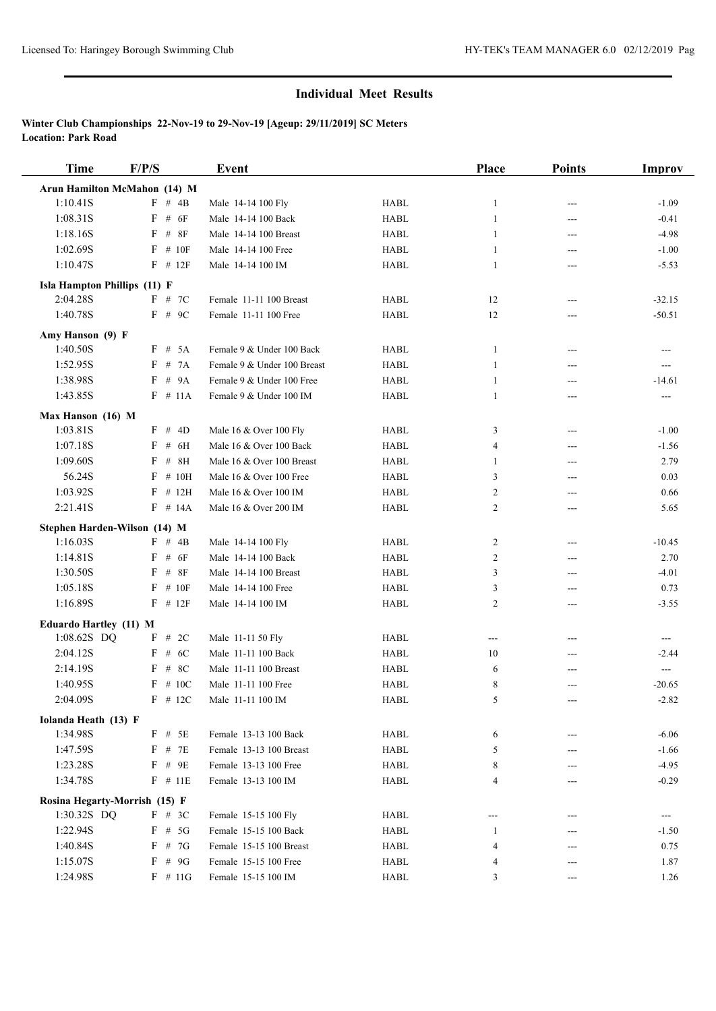| <b>Time</b>                   | F/P/S               | <b>Event</b>                                             |             | Place          | <b>Points</b> | <b>Improv</b> |
|-------------------------------|---------------------|----------------------------------------------------------|-------------|----------------|---------------|---------------|
| Arun Hamilton McMahon (14) M  |                     |                                                          |             |                |               |               |
| 1:10.41S                      | $F \# 4B$           | Male 14-14 100 Fly                                       | <b>HABL</b> | $\mathbf{1}$   | ---           | $-1.09$       |
| 1:08.31S                      | # $6F$<br>F         | Male 14-14 100 Back                                      | <b>HABL</b> | $\mathbf{1}$   | ---           | $-0.41$       |
| 1:18.16S                      | # $8F$<br>F         | Male 14-14 100 Breast                                    | <b>HABL</b> | 1              | $---$         | $-4.98$       |
| 1:02.69S                      | F<br># 10F          | Male 14-14 100 Free                                      | <b>HABL</b> | $\mathbf{1}$   | ---           | $-1.00$       |
| 1:10.47S                      | $F$ # 12 $F$        | Male 14-14 100 IM                                        | <b>HABL</b> | 1              | $---$         | $-5.53$       |
| Isla Hampton Phillips (11) F  |                     |                                                          |             |                |               |               |
| 2:04.28S                      | $F$ # 7C            | Female 11-11 100 Breast                                  | <b>HABL</b> | 12             | ---           | $-32.15$      |
| 1:40.78S                      | $F$ # 9C            | Female 11-11 100 Free                                    | <b>HABL</b> | 12             | ---           | $-50.51$      |
|                               |                     |                                                          |             |                |               |               |
| Amy Hanson (9) F              |                     |                                                          |             |                |               |               |
| 1:40.50S                      | F # 5A<br># 7A<br>F | Female 9 & Under 100 Back                                | <b>HABL</b> | 1              | $---$         | $---$         |
| 1:52.95S                      |                     | Female 9 & Under 100 Breast<br>Female 9 & Under 100 Free | <b>HABL</b> | 1              | ---           | ---           |
| 1:38.98S                      | $F$ # 9A            |                                                          | <b>HABL</b> | 1              | ---           | -14.61        |
| 1:43.85S                      | $F$ # 11A           | Female 9 & Under 100 IM                                  | <b>HABL</b> | 1              | ---           | $---$         |
| Max Hanson (16) M             |                     |                                                          |             |                |               |               |
| 1:03.81S                      | F # 4D              | Male 16 & Over 100 Fly                                   | HABL        | 3              | ---           | $-1.00$       |
| 1:07.18S                      | $F$ # 6H            | Male 16 & Over 100 Back                                  | <b>HABL</b> | $\overline{4}$ | $---$         | $-1.56$       |
| 1:09.60S                      | F<br>$#$            | 8H<br>Male 16 & Over 100 Breast                          | <b>HABL</b> | 1              | $---$         | 2.79          |
| 56.24S                        | F<br># 10H          | Male 16 & Over 100 Free                                  | <b>HABL</b> | 3              | ---           | 0.03          |
| 1:03.92S                      | # 12H<br>F          | Male 16 & Over 100 IM                                    | <b>HABL</b> | $\overline{c}$ | ---           | 0.66          |
| 2:21.41S                      | $F$ # 14A           | Male 16 & Over 200 IM                                    | <b>HABL</b> | 2              | ---           | 5.65          |
| Stephen Harden-Wilson (14) M  |                     |                                                          |             |                |               |               |
| 1:16.03S                      | $F \# 4B$           | Male 14-14 100 Fly                                       | <b>HABL</b> | $\overline{c}$ | $---$         | $-10.45$      |
| 1:14.81S                      | F # 6F              | Male 14-14 100 Back                                      | <b>HABL</b> | $\overline{c}$ | ---           | 2.70          |
| 1:30.50S                      | F<br>$\#$           | 8F<br>Male 14-14 100 Breast                              | <b>HABL</b> | 3              | ---           | $-4.01$       |
| 1:05.18S                      | # 10F<br>F          | Male 14-14 100 Free                                      | <b>HABL</b> | 3              | ---           | 0.73          |
| 1:16.89S                      | $F$ # 12 $F$        | Male 14-14 100 IM                                        | <b>HABL</b> | 2              | ---           | $-3.55$       |
| Eduardo Hartley (11) M        |                     |                                                          |             |                |               |               |
| 1:08.62S DQ                   | F # 2C              | Male 11-11 50 Fly                                        | <b>HABL</b> | ---            | ---           | $---$         |
| 2:04.12S                      | $F$ # 6C            | Male 11-11 100 Back                                      | <b>HABL</b> | 10             | ---           | $-2.44$       |
| 2:14.19S                      | $F$ # 8C            | Male 11-11 100 Breast                                    | <b>HABL</b> | 6              |               | ---           |
| 1:40.95S                      | $F$ # 10C           | Male 11-11 100 Free                                      | <b>HABL</b> | 8              | ---           | $-20.65$      |
| 2:04.09S                      | $F$ # 12C           | Male 11-11 100 IM                                        | <b>HABL</b> | 5              |               | $-2.82$       |
| Iolanda Heath (13) F          |                     |                                                          |             |                |               |               |
| 1:34.98S                      | $F$ # 5E            | Female 13-13 100 Back                                    | HABL        | 6              | ---           | $-6.06$       |
| 1:47.59S                      | $F$ # 7E            | Female 13-13 100 Breast                                  | <b>HABL</b> | 5              |               | $-1.66$       |
| 1:23.28S                      | $F$ # 9E            | Female 13-13 100 Free                                    | <b>HABL</b> | 8              |               | $-4.95$       |
| 1:34.78S                      | $F$ # 11E           | Female 13-13 100 IM                                      | HABL        | 4              |               | $-0.29$       |
| Rosina Hegarty-Morrish (15) F |                     |                                                          |             |                |               |               |
| 1:30.32S DQ                   | $F$ # 3C            | Female 15-15 100 Fly                                     | <b>HABL</b> | ---            |               | ---           |
| 1:22.94S                      | $F$ # 5G            | Female 15-15 100 Back                                    | HABL        | 1              |               | $-1.50$       |
| 1:40.84S                      | F # 7G              | Female 15-15 100 Breast                                  | HABL        | 4              | ---           | 0.75          |
| 1:15.07S                      | F<br># $9G$         | Female 15-15 100 Free                                    | HABL        | 4              | ---           | 1.87          |
| 1:24.98S                      | $F \# 11G$          | Female 15-15 100 IM                                      | HABL        | 3              | $---$         | 1.26          |
|                               |                     |                                                          |             |                |               |               |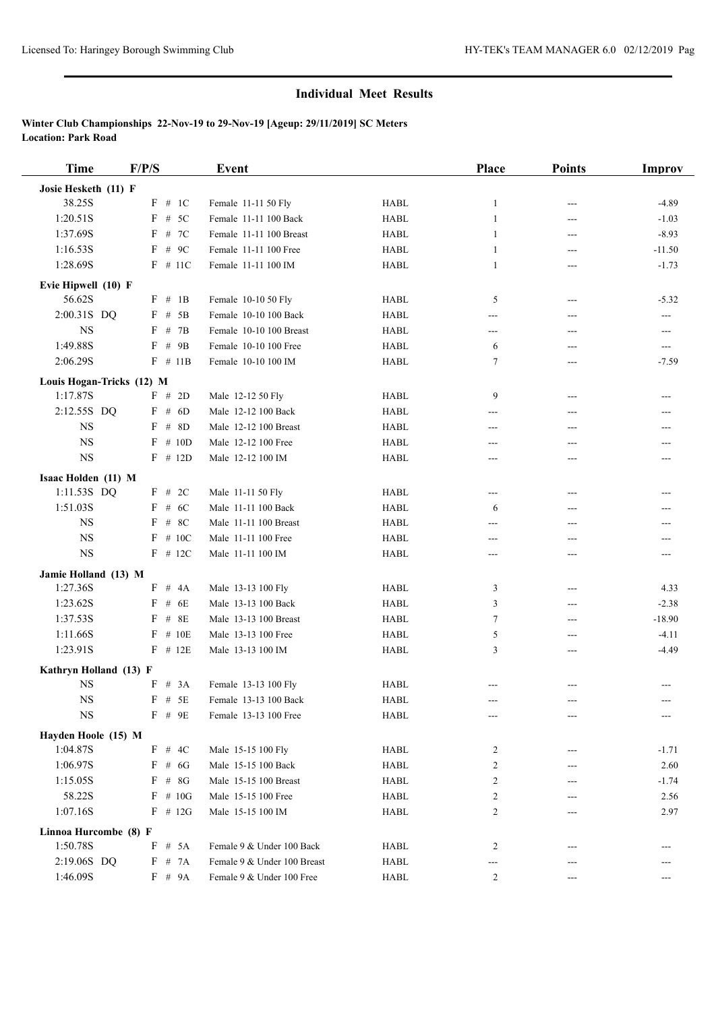| <b>Time</b>                           | F/P/S        | <b>Event</b>                |             | Place          | <b>Points</b> | Improv                   |
|---------------------------------------|--------------|-----------------------------|-------------|----------------|---------------|--------------------------|
| Josie Hesketh (11) F                  |              |                             |             |                |               |                          |
| 38.25S                                | F # 1C       | Female 11-11 50 Fly         | HABL        | $\mathbf{1}$   | ---           | $-4.89$                  |
| 1:20.51S                              | F<br># $5C$  | Female 11-11 100 Back       | <b>HABL</b> | $\mathbf{1}$   | ---           | $-1.03$                  |
| 1:37.69S                              | # 7C<br>F    | Female 11-11 100 Breast     | <b>HABL</b> | 1              | $---$         | $-8.93$                  |
| 1:16.53S                              | $#$ 9C<br>F  | Female 11-11 100 Free       | <b>HABL</b> | $\mathbf{1}$   | ---           | $-11.50$                 |
| 1:28.69S                              | $F$ # 11C    | Female 11-11 100 IM         | <b>HABL</b> | 1              | $---$         | $-1.73$                  |
| Evie Hipwell (10) F                   |              |                             |             |                |               |                          |
| 56.62S                                | F # 1B       | Female 10-10 50 Fly         | <b>HABL</b> | 5              | $---$         | $-5.32$                  |
| 2:00.31S DQ                           | $F$ # 5B     | Female 10-10 100 Back       | <b>HABL</b> | ---            | ---           | ---                      |
| <b>NS</b>                             | F # 7B       | Female 10-10 100 Breast     | <b>HABL</b> | ---            | ---           | $---$                    |
| 1:49.88S                              | F<br># 9B    | Female 10-10 100 Free       | <b>HABL</b> | 6              | ---           | $\overline{\phantom{a}}$ |
| 2:06.29S                              | $F$ # 11B    | Female 10-10 100 IM         | <b>HABL</b> | 7              | ---           | $-7.59$                  |
|                                       |              |                             |             |                |               |                          |
| Louis Hogan-Tricks (12) M<br>1:17.87S | F # 2D       | Male 12-12 50 Fly           | <b>HABL</b> | 9              | $---$         |                          |
| 2:12.55S DQ                           | F # 6D       | Male 12-12 100 Back         | <b>HABL</b> |                |               | $---$                    |
| <b>NS</b>                             | $F$ # 8D     | Male 12-12 100 Breast       | <b>HABL</b> | ---<br>---     | ---<br>---    | ---                      |
| $_{\rm NS}$                           | # $10D$<br>F | Male 12-12 100 Free         | <b>HABL</b> | ---            |               |                          |
| $_{\rm NS}$                           | $F$ # 12D    | Male 12-12 100 IM           | <b>HABL</b> | ---            | ---           | ---                      |
|                                       |              |                             |             |                |               |                          |
| Isaac Holden (11) M                   |              |                             |             |                |               |                          |
| 1:11.53S DQ                           | F # 2C       | Male 11-11 50 Fly           | <b>HABL</b> | ---            | ---           | ---                      |
| 1:51.03S                              | $F$ # 6C     | Male 11-11 100 Back         | <b>HABL</b> | 6              | ---           | ---                      |
| <b>NS</b>                             | # $8C$<br>F  | Male 11-11 100 Breast       | <b>HABL</b> | ---            | ---           | ---                      |
| $_{\rm NS}$                           | $F$ # 10C    | Male 11-11 100 Free         | <b>HABL</b> | ---            | ---           |                          |
| <b>NS</b>                             | $F$ # 12C    | Male 11-11 100 IM           | <b>HABL</b> | ---            | ---           | ---                      |
| Jamie Holland (13) M                  |              |                             |             |                |               |                          |
| 1:27.36S                              | F # 4A       | Male 13-13 100 Fly          | <b>HABL</b> | 3              | ---           | 4.33                     |
| 1:23.62S                              | # $6E$<br>F  | Male 13-13 100 Back         | <b>HABL</b> | 3              | $---$         | $-2.38$                  |
| 1:37.53S                              | $F$ # 8E     | Male 13-13 100 Breast       | <b>HABL</b> | 7              | ---           | $-18.90$                 |
| 1:11.66S                              | F<br># 10E   | Male 13-13 100 Free         | <b>HABL</b> | 5              | ---           | $-4.11$                  |
| 1:23.91S                              | $F$ # 12E    | Male 13-13 100 IM           | <b>HABL</b> | 3              | ---           | $-4.49$                  |
| Kathryn Holland (13) F                |              |                             |             |                |               |                          |
| <b>NS</b>                             | F # 3A       | Female 13-13 100 Fly        | <b>HABL</b> |                | ---           | ---                      |
| $_{\rm NS}$                           | $F$ # 5E     | Female 13-13 100 Back       | <b>HABL</b> |                |               |                          |
| <b>NS</b>                             | $F$ # 9E     | Female 13-13 100 Free       | HABL        | ---            |               | ---                      |
| Hayden Hoole (15) M                   |              |                             |             |                |               |                          |
| 1:04.87S                              | $F$ # 4C     | Male 15-15 100 Fly          | HABL        | 2              |               | $-1.71$                  |
| 1:06.97S                              | F # 6G       | Male 15-15 100 Back         | HABL        | 2              |               | 2.60                     |
| 1:15.05S                              | $F$ # 8G     | Male 15-15 100 Breast       | HABL        | 2              |               | $-1.74$                  |
| 58.22S                                | $F$ # 10G    | Male 15-15 100 Free         | HABL        | 2              |               | 2.56                     |
| 1:07.16S                              | $F$ # 12G    | Male 15-15 100 IM           | <b>HABL</b> | 2              |               | 2.97                     |
| Linnoa Hurcombe (8) F                 |              |                             |             |                |               |                          |
| 1:50.78S                              | F<br># 5A    | Female 9 & Under 100 Back   | HABL        | 2              |               |                          |
| 2:19.06S DQ                           | F<br># 7A    | Female 9 & Under 100 Breast | HABL        | ---            |               |                          |
| 1:46.09S                              | F # 9A       | Female 9 & Under 100 Free   | HABL        | $\overline{c}$ | $---$         | $---$                    |
|                                       |              |                             |             |                |               |                          |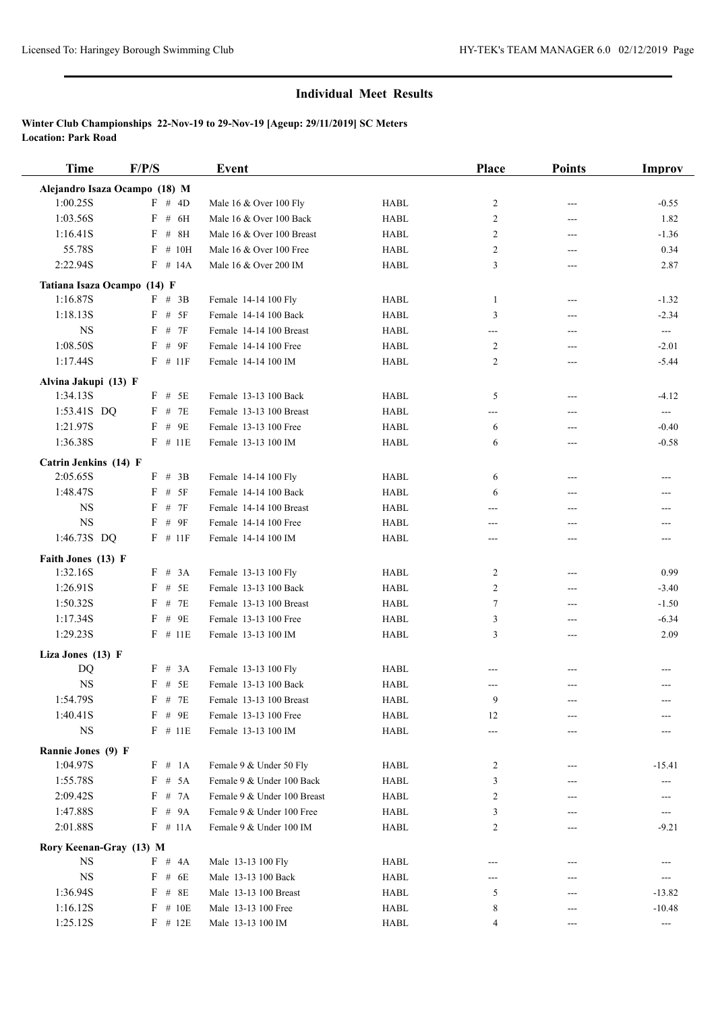| <b>Time</b>                   | F/P/S              | Event                       |             | Place  | <b>Points</b>            | <b>Improv</b>            |
|-------------------------------|--------------------|-----------------------------|-------------|--------|--------------------------|--------------------------|
| Alejandro Isaza Ocampo (18) M |                    |                             |             |        |                          |                          |
| 1:00.25S                      | $F \# 4D$          | Male 16 & Over 100 Fly      | <b>HABL</b> | 2      | $---$                    | $-0.55$                  |
| 1:03.56S                      | # $6H$<br>F        | Male 16 & Over 100 Back     | <b>HABL</b> | 2      | ---                      | 1.82                     |
| 1:16.41S                      | $F$ # 8H           | Male 16 & Over 100 Breast   | <b>HABL</b> | 2      | $---$                    | $-1.36$                  |
| 55.78S                        | F<br># 10H         | Male 16 & Over 100 Free     | <b>HABL</b> | 2      | ---                      | 0.34                     |
| 2:22.94S                      | $F$ # 14A          | Male 16 & Over 200 IM       | <b>HABL</b> | 3      | ---                      | 2.87                     |
| Tatiana Isaza Ocampo (14) F   |                    |                             |             |        |                          |                          |
| 1:16.87S                      | F # 3B             | Female 14-14 100 Fly        | <b>HABL</b> | 1      | $---$                    | $-1.32$                  |
| 1:18.13S                      | F # 5F             | Female 14-14 100 Back       | <b>HABL</b> | 3      | ---                      | $-2.34$                  |
| <b>NS</b>                     | F # 7F             | Female 14-14 100 Breast     | <b>HABL</b> | ---    | $\overline{\phantom{a}}$ | $\overline{a}$           |
| 1:08.50S                      | $#$ 9F<br>F        | Female 14-14 100 Free       | <b>HABL</b> | 2      | ---                      | $-2.01$                  |
| 1:17.44S                      | $F$ # 11F          | Female 14-14 100 IM         | <b>HABL</b> | 2      | ---                      | $-5.44$                  |
| Alvina Jakupi (13) F          |                    |                             |             |        |                          |                          |
| 1:34.13S                      | $F$ # 5E           | Female 13-13 100 Back       | <b>HABL</b> | 5      | $---$                    | $-4.12$                  |
| 1:53.41S DQ                   | $F$ # 7E           | Female 13-13 100 Breast     | <b>HABL</b> | ---    | ---                      | ---                      |
| 1:21.97S                      | $F$ # 9E           | Female 13-13 100 Free       | <b>HABL</b> | 6      | ---                      | $-0.40$                  |
| 1:36.38S                      | $F$ # 11E          | Female 13-13 100 IM         | <b>HABL</b> | 6      | ---                      | $-0.58$                  |
| Catrin Jenkins (14) F         |                    |                             |             |        |                          |                          |
| 2:05.65S                      | $F$ # 3B           | Female 14-14 100 Fly        | <b>HABL</b> | 6      | ---                      | $---$                    |
| 1:48.47S                      | # 5F<br>F          | Female 14-14 100 Back       | <b>HABL</b> | 6      | ---                      | $---$                    |
| <b>NS</b>                     | F<br># 7F          | Female 14-14 100 Breast     | <b>HABL</b> | ---    | ---                      | ---                      |
| <b>NS</b>                     | $F$ # 9F           | Female 14-14 100 Free       | <b>HABL</b> | ---    | ---                      | ---                      |
| 1:46.73S DQ                   | $F$ # 11F          | Female 14-14 100 IM         | <b>HABL</b> | ---    | ---                      | $---$                    |
| Faith Jones (13) F            |                    |                             |             |        |                          |                          |
| 1:32.16S                      | F # 3A             | Female 13-13 100 Fly        | <b>HABL</b> | 2      | ---                      | 0.99                     |
| 1:26.91S                      | $F$ # 5E           | Female 13-13 100 Back       | <b>HABL</b> | 2      | $\cdots$                 | $-3.40$                  |
| 1:50.32S                      | # 7E<br>F          | Female 13-13 100 Breast     | <b>HABL</b> | $\tau$ | $---$                    | $-1.50$                  |
| 1:17.34S                      | $F$ # 9E           | Female 13-13 100 Free       | <b>HABL</b> | 3      | ---                      | $-6.34$                  |
| 1:29.23S                      | $F$ # 11E          | Female 13-13 100 IM         | <b>HABL</b> | 3      | $---$                    | 2.09                     |
| Liza Jones (13) F             |                    |                             |             |        |                          |                          |
| DQ                            | F # 3A             | Female 13-13 100 Fly        | <b>HABL</b> |        |                          |                          |
| <b>NS</b>                     | $F$ # 5E           | Female 13-13 100 Back       | <b>HABL</b> | ---    | ---                      | ---                      |
| 1:54.79S                      | $\rm F$ # $\rm 7E$ | Female 13-13 100 Breast     | <b>HABL</b> | 9      |                          | ---                      |
| 1:40.41S                      | $F$ # 9E           | Female 13-13 100 Free       | HABL        | 12     | ---                      |                          |
| $_{\rm NS}$                   | $F$ # 11E          | Female 13-13 100 IM         | HABL        | ---    | ---                      |                          |
| Rannie Jones (9) F            |                    |                             |             |        |                          |                          |
| 1:04.97S                      | F # 1A             | Female 9 & Under 50 Fly     | HABL        | 2      | ---                      | $-15.41$                 |
| 1:55.78S                      | $F$ # 5A           | Female 9 & Under 100 Back   | <b>HABL</b> | 3      |                          |                          |
| 2:09.42S                      | F # 7A             | Female 9 & Under 100 Breast | HABL        | 2      |                          |                          |
| 1:47.88S                      | F # 9A             | Female 9 & Under 100 Free   | HABL        | 3      |                          | ---                      |
| 2:01.88S                      | $F \# 11A$         | Female 9 & Under 100 IM     | <b>HABL</b> | 2      |                          | $-9.21$                  |
| Rory Keenan-Gray (13) M       |                    |                             |             |        |                          |                          |
| <b>NS</b>                     | $F \# 4A$          | Male 13-13 100 Fly          | HABL        |        |                          |                          |
| $_{\rm NS}$                   | $F$ # 6E           | Male 13-13 100 Back         | HABL        | ---    |                          | $\hspace{0.05cm} \ldots$ |
| 1:36.94S                      | F<br># 8E          | Male 13-13 100 Breast       | HABL        | 5      |                          | $-13.82$                 |
| 1:16.12S                      | $F$ # 10E          | Male 13-13 100 Free         | HABL        | 8      |                          | $-10.48$                 |
| 1:25.12S                      | $F$ # 12E          | Male 13-13 100 IM           | HABL        | 4      |                          |                          |
|                               |                    |                             |             |        |                          | ---                      |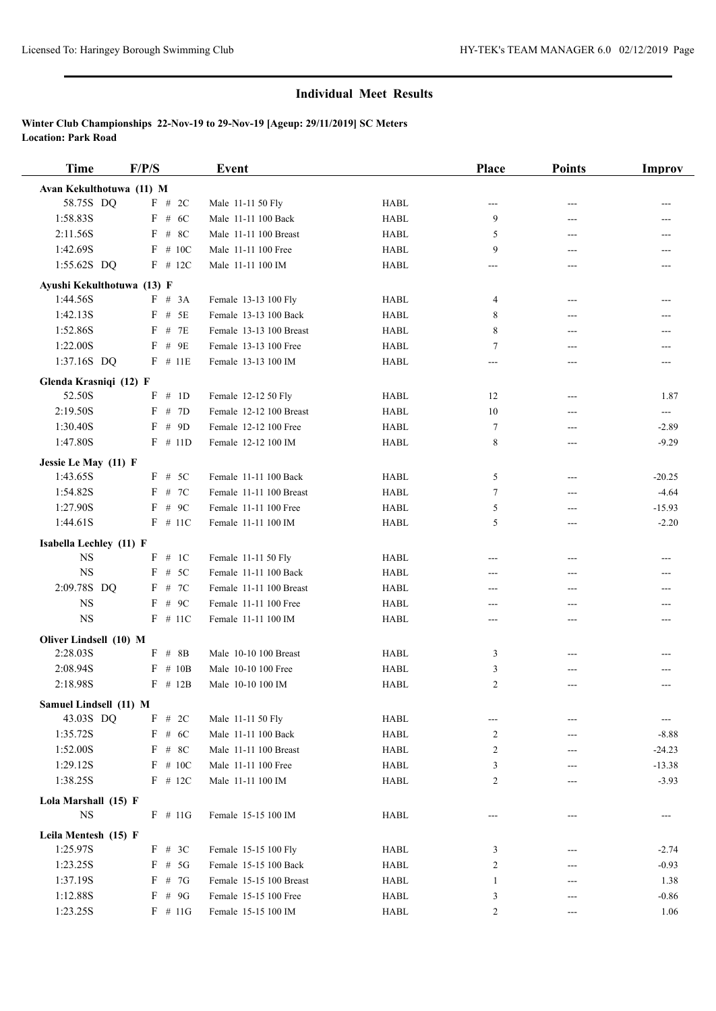| <b>Time</b>                      | F/P/S              | Event                                          |             | Place       | <b>Points</b> | <b>Improv</b> |
|----------------------------------|--------------------|------------------------------------------------|-------------|-------------|---------------|---------------|
| Avan Kekulthotuwa (11) M         |                    |                                                |             |             |               |               |
| 58.75S DQ                        | F # 2C             | Male 11-11 50 Fly                              | HABL        | $---$       |               |               |
| 1:58.83S                         | F<br># 6C          | Male 11-11 100 Back                            | <b>HABL</b> | 9           | ---           |               |
| 2:11.56S                         | $F$ # 8C           | Male 11-11 100 Breast                          | <b>HABL</b> | 5           | ---           |               |
| 1:42.69S                         | $F$ # 10C          | Male 11-11 100 Free                            | <b>HABL</b> | 9           | ---           |               |
| 1:55.62S DQ                      | $F$ # 12C          | Male 11-11 100 IM                              | <b>HABL</b> | ---         | ---           | ---           |
| Ayushi Kekulthotuwa (13) F       |                    |                                                |             |             |               |               |
| 1:44.56S                         | F # 3A             | Female 13-13 100 Fly                           | <b>HABL</b> | 4           | ---           | ---           |
| 1:42.13S                         | $F$ # 5E           | Female 13-13 100 Back                          | <b>HABL</b> | 8           | ---           |               |
| 1:52.86S                         | # 7E<br>F          | Female 13-13 100 Breast                        | <b>HABL</b> | 8           | ---           | ---           |
| 1:22.00S                         | F<br>#9E           | Female 13-13 100 Free                          | HABL        | 7           | ---           | ---           |
| 1:37.16S DQ                      | $F$ # 11E          | Female 13-13 100 IM                            | <b>HABL</b> | ---         | ---           | $---$         |
|                                  |                    |                                                |             |             |               |               |
| Glenda Krasniqi (12) F<br>52.50S | $_{\rm F}$<br># 1D |                                                | <b>HABL</b> |             |               |               |
| 2:19.50S                         | # 7D<br>F          | Female 12-12 50 Fly<br>Female 12-12 100 Breast | <b>HABL</b> | 12<br>10    | ---           | 1.87          |
| 1:30.40S                         | $F$ # 9D           | Female 12-12 100 Free                          | <b>HABL</b> |             | ---           | ---           |
|                                  |                    |                                                |             | $\tau$<br>8 | ---           | $-2.89$       |
| 1:47.80S                         | $F$ # 11D          | Female 12-12 100 IM                            | <b>HABL</b> |             | ---           | $-9.29$       |
| Jessie Le May (11) F             |                    |                                                |             |             |               |               |
| 1:43.65S                         | $F \# 5C$          | Female 11-11 100 Back                          | <b>HABL</b> | 5           | ---           | $-20.25$      |
| 1:54.82S                         | $F$ # 7C           | Female 11-11 100 Breast                        | <b>HABL</b> | 7           | ---           | $-4.64$       |
| 1:27.90S                         | $F$ # 9C           | Female 11-11 100 Free                          | <b>HABL</b> | 5           | ---           | $-15.93$      |
| 1:44.61S                         | $F$ # 11C          | Female 11-11 100 IM                            | <b>HABL</b> | 5           | ---           | $-2.20$       |
| Isabella Lechley (11) F          |                    |                                                |             |             |               |               |
| <b>NS</b>                        | # 1C<br>F          | Female 11-11 50 Fly                            | <b>HABL</b> |             | ---           | $---$         |
| <b>NS</b>                        | # 5C<br>F          | Female 11-11 100 Back                          | <b>HABL</b> |             | ---           |               |
| 2:09.78S DQ                      | $F$ # 7C           | Female 11-11 100 Breast                        | <b>HABL</b> | ---         | ---           |               |
| <b>NS</b>                        | $F$ # 9C           | Female 11-11 100 Free                          | <b>HABL</b> | ---         | ---           |               |
| $_{\rm NS}$                      | $F$ # 11C          | Female 11-11 100 IM                            | <b>HABL</b> | ---         | ---           | ---           |
| Oliver Lindsell (10) M           |                    |                                                |             |             |               |               |
| 2:28.03S                         | $F$ # 8B           | Male 10-10 100 Breast                          | <b>HABL</b> | 3           | ---           |               |
| 2:08.94S                         | $\#$ 10B<br>F      | Male 10-10 100 Free                            | <b>HABL</b> | 3           | ---           |               |
| 2:18.98S                         | $F$ # 12B          | Male 10-10 100 IM                              | <b>HABL</b> | 2           | ---           | ---           |
| Samuel Lindsell (11) M           |                    |                                                |             |             |               |               |
| 43.03S DQ                        | F # 2C             | Male 11-11 50 Fly                              | HABL        | ---         | ---           | ---           |
| 1:35.72S                         | F<br># $6C$        | Male 11-11 100 Back                            | <b>HABL</b> | 2           | ---           | $-8.88$       |
| 1:52.00S                         | F<br># 8C          | Male 11-11 100 Breast                          | HABL        | 2           | ---           | $-24.23$      |
| 1:29.12S                         | $F \# 10C$         | Male 11-11 100 Free                            | HABL        | 3           |               | $-13.38$      |
| 1:38.25S                         | $F$ # 12C          | Male 11-11 100 IM                              | HABL        | 2           |               | $-3.93$       |
| Lola Marshall (15) F             |                    |                                                |             |             |               |               |
| $_{\rm NS}$                      | $F \# 11G$         | Female 15-15 100 IM                            | HABL        | ---         | ---           | ---           |
| Leila Mentesh (15) F             |                    |                                                |             |             |               |               |
| 1:25.97S                         | F # 3C             | Female 15-15 100 Fly                           | HABL        | 3           |               | $-2.74$       |
| 1:23.25S                         | $F \# 5G$          | Female 15-15 100 Back                          | <b>HABL</b> | 2           | ---           | $-0.93$       |
| 1:37.19S                         | F<br># 7G          | Female 15-15 100 Breast                        | HABL        | 1           |               | 1.38          |
| 1:12.88S                         | F # 9G             | Female 15-15 100 Free                          | HABL        | 3           | ---           | $-0.86$       |
| 1:23.25S                         | $F$ # 11G          | Female 15-15 100 IM                            | <b>HABL</b> | 2           | ---           | 1.06          |
|                                  |                    |                                                |             |             |               |               |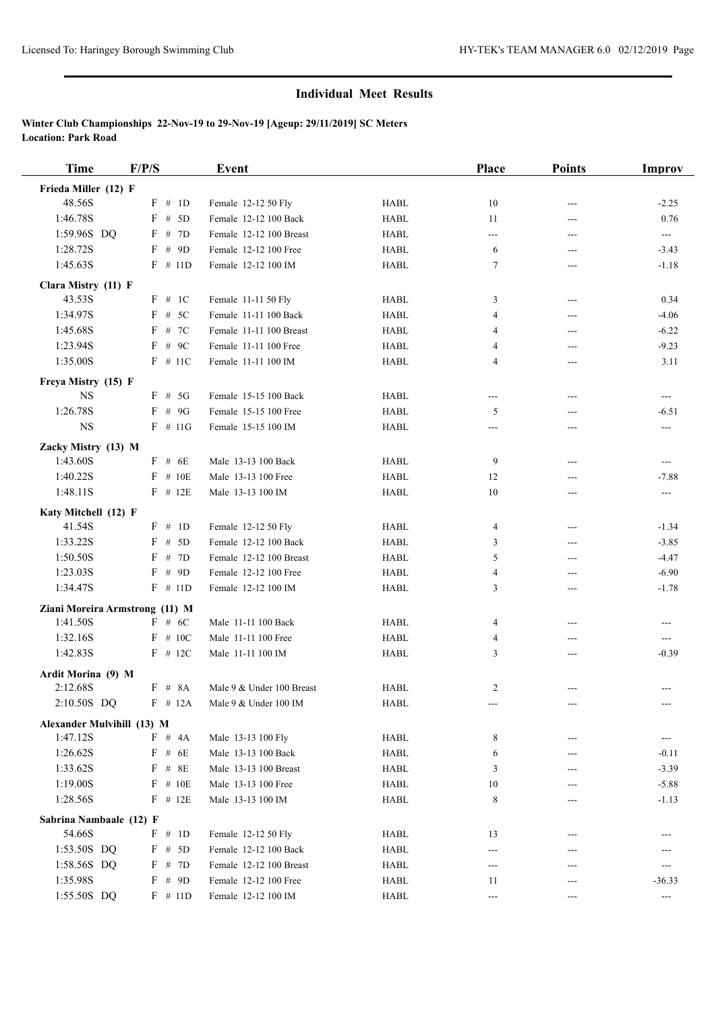| <b>Time</b>                      | F/P/S                |        | Event                     |                            | Place          | <b>Points</b> | Improv                              |
|----------------------------------|----------------------|--------|---------------------------|----------------------------|----------------|---------------|-------------------------------------|
| Frieda Miller (12) F             |                      |        |                           |                            |                |               |                                     |
| 48.56S                           | $F \# 1D$            |        | Female 12-12 50 Fly       | <b>HABL</b>                | 10             | ---           | $-2.25$                             |
| 1:46.78S                         | F                    | # $5D$ | Female 12-12 100 Back     | <b>HABL</b>                | 11             | ---           | 0.76                                |
| 1:59.96S DQ                      | F # 7D               |        | Female 12-12 100 Breast   | <b>HABL</b>                | ---            | ---           | $\sim$                              |
| 1:28.72S                         | $_{\rm F}$           | # 9D   | Female 12-12 100 Free     | <b>HABL</b>                | 6              | ---           | $-3.43$                             |
| 1:45.63S                         | $F$ # 11D            |        | Female 12-12 100 IM       | <b>HABL</b>                | 7              | ---           | $-1.18$                             |
| Clara Mistry (11) F              |                      |        |                           |                            |                |               |                                     |
| 43.53S                           | $F \# 1C$            |        | Female 11-11 50 Fly       | <b>HABL</b>                | 3              | ---           | 0.34                                |
| 1:34.97S                         | $F$ # 5C             |        | Female 11-11 100 Back     | <b>HABL</b>                | 4              | ---           | $-4.06$                             |
| 1:45.68S                         | $F$ # 7C             |        | Female 11-11 100 Breast   | <b>HABL</b>                | 4              | ---           | $-6.22$                             |
| 1:23.94S                         | F                    | # $9C$ | Female 11-11 100 Free     | <b>HABL</b>                | 4              | ---           | $-9.23$                             |
| 1:35.00S                         | $F$ # 11C            |        | Female 11-11 100 IM       | <b>HABL</b>                | 4              | ---           | 3.11                                |
|                                  |                      |        |                           |                            |                |               |                                     |
| Freya Mistry (15) F<br><b>NS</b> |                      |        | Female 15-15 100 Back     |                            |                |               |                                     |
| 1:26.78S                         | $F$ # 5G<br>$F$ # 9G |        |                           | <b>HABL</b><br><b>HABL</b> | ---            | ---           | $\hspace{0.05cm}---\hspace{0.05cm}$ |
| <b>NS</b>                        | $F \# 11G$           |        | Female 15-15 100 Free     |                            | 5              | ---           | $-6.51$                             |
|                                  |                      |        | Female 15-15 100 IM       | <b>HABL</b>                | ---            | ---           | ---                                 |
| Zacky Mistry (13) M              |                      |        |                           |                            |                |               |                                     |
| 1:43.60S                         | $F$ # 6E             |        | Male 13-13 100 Back       | <b>HABL</b>                | 9              | ---           | ---                                 |
| 1:40.22S                         | $F$ # 10E            |        | Male 13-13 100 Free       | <b>HABL</b>                | 12             | ---           | $-7.88$                             |
| 1:48.11S                         | $F$ # 12E            |        | Male 13-13 100 IM         | <b>HABL</b>                | 10             | ---           | ---                                 |
| Katy Mitchell (12) F             |                      |        |                           |                            |                |               |                                     |
| 41.54S                           | F # 1D               |        | Female 12-12 50 Fly       | <b>HABL</b>                | $\overline{4}$ | ---           | $-1.34$                             |
| 1:33.22S                         | F                    | # 5D   | Female 12-12 100 Back     | <b>HABL</b>                | 3              | ---           | $-3.85$                             |
| 1:50.50S                         | F # 7D               |        | Female 12-12 100 Breast   | <b>HABL</b>                | 5              | ---           | $-4.47$                             |
| 1:23.03S                         | $F$ # 9D             |        | Female 12-12 100 Free     | <b>HABL</b>                | 4              | ---           | $-6.90$                             |
| 1:34.47S                         | $F \# 11D$           |        | Female 12-12 100 IM       | <b>HABL</b>                | 3              | ---           | $-1.78$                             |
| Ziani Moreira Armstrong (11) M   |                      |        |                           |                            |                |               |                                     |
| 1:41.50S                         | F # 6C               |        | Male 11-11 100 Back       | <b>HABL</b>                | 4              | ---           | ---                                 |
| 1:32.16S                         | $F$ # 10C            |        | Male 11-11 100 Free       | <b>HABL</b>                | 4              | ---           | ---                                 |
| 1:42.83S                         | $F$ # 12C            |        | Male 11-11 100 IM         | <b>HABL</b>                | 3              | ---           | $-0.39$                             |
|                                  |                      |        |                           |                            |                |               |                                     |
| Ardit Morina (9) M<br>2:12.68S   | F # 8A               |        | Male 9 & Under 100 Breast | <b>HABL</b>                | $\overline{c}$ |               | $---$                               |
| 2:10.50S DQ                      | $F$ # 12A            |        | Male 9 & Under 100 IM     | HABL                       |                |               | ---                                 |
|                                  |                      |        |                           |                            |                |               |                                     |
| Alexander Mulvihill (13) M       |                      |        |                           |                            |                |               |                                     |
| 1:47.12S                         | $F$ # $4A$           |        | Male 13-13 100 Fly        | HABL                       | 8              | ---           |                                     |
| 1:26.62S                         | F                    | # $6E$ | Male 13-13 100 Back       | <b>HABL</b>                | 6              | ---           | $-0.11$                             |
| 1:33.62S                         | $F$ # $8E$           |        | Male 13-13 100 Breast     | <b>HABL</b>                | 3              | ---           | $-3.39$                             |
| 1:19.00S                         | $F$ # 10E            |        | Male 13-13 100 Free       | HABL                       | 10             |               | $-5.88$                             |
| 1:28.56S                         | $F$ # 12E            |        | Male 13-13 100 IM         | HABL                       | 8              | ---           | $-1.13$                             |
| Sabrina Nambaale (12) F          |                      |        |                           |                            |                |               |                                     |
| 54.66S                           | $F \# 1D$            |        | Female 12-12 50 Fly       | HABL                       | 13             | ---           |                                     |
| 1:53.50S DQ                      | F # 5D               |        | Female 12-12 100 Back     | HABL                       | ---            | ---           |                                     |
| 1:58.56S DQ                      | F # 7D               |        | Female 12-12 100 Breast   | HABL                       | ---            |               | ---                                 |
| 1:35.98S                         | $F \# 9D$            |        | Female 12-12 100 Free     | HABL                       | 11             | ---           | $-36.33$                            |
| 1:55.50S DQ                      | $F \# 11D$           |        | Female 12-12 100 IM       | HABL                       | ---            | ---           | $\hspace{0.05cm} \ldots$            |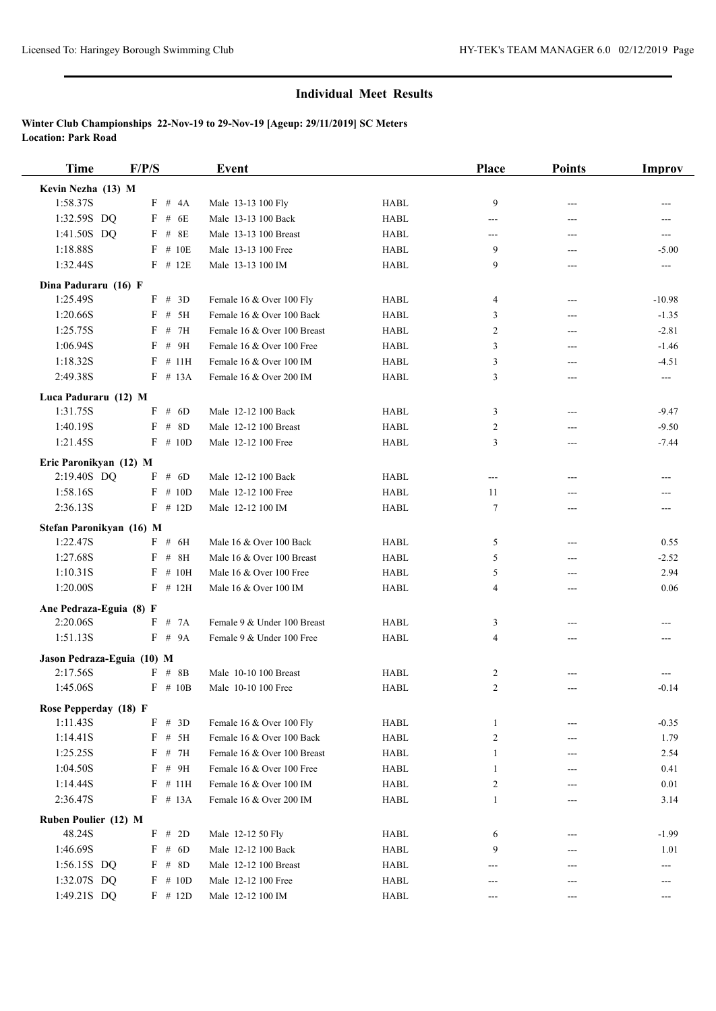| <b>Time</b>                | F/P/S |            | Event                       |             | <b>Place</b>   | <b>Points</b> | Improv                   |
|----------------------------|-------|------------|-----------------------------|-------------|----------------|---------------|--------------------------|
| Kevin Nezha (13) M         |       |            |                             |             |                |               |                          |
| 1:58.37S                   |       | F # 4A     | Male 13-13 100 Fly          | <b>HABL</b> | 9              | ---           |                          |
| 1:32.59S DQ                | $F$ # | 6E         | Male 13-13 100 Back         | <b>HABL</b> | ---            | ---           | ---                      |
| 1:41.50S DQ                |       | $F$ # 8E   | Male 13-13 100 Breast       | <b>HABL</b> | ---            | ---           | $---$                    |
| 1:18.88S                   |       | $F$ # 10E  | Male 13-13 100 Free         | <b>HABL</b> | 9              | ---           | $-5.00$                  |
| 1:32.44S                   |       | $F$ # 12E  | Male 13-13 100 IM           | <b>HABL</b> | 9              | ---           | $---$                    |
| Dina Paduraru (16) F       |       |            |                             |             |                |               |                          |
| 1:25.49S                   |       | $F \# 3D$  | Female 16 & Over 100 Fly    | <b>HABL</b> | 4              | $---$         | $-10.98$                 |
| 1:20.66S                   |       | $F \# 5H$  | Female 16 & Over 100 Back   | <b>HABL</b> | 3              | ---           | $-1.35$                  |
| 1:25.75S                   |       | F # 7H     | Female 16 & Over 100 Breast | <b>HABL</b> | $\overline{2}$ | ---           | $-2.81$                  |
| 1:06.94S                   |       | $F$ # 9H   | Female 16 & Over 100 Free   | <b>HABL</b> | 3              | ---           | $-1.46$                  |
| 1:18.32S                   |       | $F$ # 11H  | Female 16 & Over 100 IM     | <b>HABL</b> | 3              | ---           | $-4.51$                  |
| 2:49.38S                   |       | $F \# 13A$ | Female 16 & Over 200 IM     | <b>HABL</b> | 3              | ---           | $\hspace{0.05cm} \ldots$ |
| Luca Paduraru (12) M       |       |            |                             |             |                |               |                          |
| 1:31.75S                   |       | F # 6D     | Male 12-12 100 Back         | <b>HABL</b> | 3              | ---           | $-9.47$                  |
| 1:40.19S                   | F     | # 8D       | Male 12-12 100 Breast       | <b>HABL</b> | $\overline{c}$ | ---           | $-9.50$                  |
| 1:21.45S                   |       | $F \# 10D$ | Male 12-12 100 Free         | <b>HABL</b> | 3              | ---           | $-7.44$                  |
|                            |       |            |                             |             |                |               |                          |
| Eric Paronikyan (12) M     |       |            |                             |             |                |               |                          |
| 2:19.40S DQ                |       | F # 6D     | Male 12-12 100 Back         | <b>HABL</b> | ---            | ---           | ---                      |
| 1:58.16S                   |       | $F \# 10D$ | Male 12-12 100 Free         | <b>HABL</b> | 11             | ---           | ---                      |
| 2:36.13S                   |       | $F \# 12D$ | Male 12-12 100 IM           | <b>HABL</b> | 7              | ---           | $---$                    |
| Stefan Paronikyan (16) M   |       |            |                             |             |                |               |                          |
| 1:22.47S                   |       | F # 6H     | Male 16 & Over 100 Back     | <b>HABL</b> | 5              | $---$         | 0.55                     |
| 1:27.68S                   | F     | $#$<br>8H  | Male 16 & Over 100 Breast   | <b>HABL</b> | 5              | ---           | $-2.52$                  |
| 1:10.31S                   | F     | # 10H      | Male 16 & Over 100 Free     | <b>HABL</b> | 5              | ---           | 2.94                     |
| 1:20.00S                   |       | $F$ # 12H  | Male 16 & Over 100 IM       | <b>HABL</b> | $\overline{4}$ | ---           | 0.06                     |
| Ane Pedraza-Eguia (8) F    |       |            |                             |             |                |               |                          |
| 2:20.06S                   |       | $F \# 7A$  | Female 9 & Under 100 Breast | <b>HABL</b> | 3              | ---           | ---                      |
| 1:51.13S                   |       | F # 9A     | Female 9 & Under 100 Free   | <b>HABL</b> | 4              | ---           |                          |
| Jason Pedraza-Eguia (10) M |       |            |                             |             |                |               |                          |
| 2:17.56S                   |       | $F$ # 8B   | Male 10-10 100 Breast       | <b>HABL</b> | 2              |               | ---                      |
| 1:45.06S                   |       | $F$ # 10B  | Male 10-10 100 Free         | <b>HABL</b> | $\overline{c}$ | ---           | $-0.14$                  |
| Rose Pepperday (18) F      |       |            |                             |             |                |               |                          |
| 1:11.43S                   |       | F # 3D     | Female 16 & Over 100 Fly    | <b>HABL</b> | $\mathbf{1}$   |               | $-0.35$                  |
| 1:14.41S                   | F     | # 5H       | Female 16 & Over 100 Back   | <b>HABL</b> | $\overline{c}$ | ---           | 1.79                     |
| 1:25.25S                   |       | $F$ # 7H   | Female 16 & Over 100 Breast | HABL        | 1              |               | 2.54                     |
| 1:04.50S                   |       | $F$ # 9H   | Female 16 & Over 100 Free   | HABL        | 1              | ---           | 0.41                     |
| 1:14.44S                   |       | $F$ # 11H  | Female 16 & Over 100 IM     | HABL        | $\overline{c}$ | ---           | 0.01                     |
| 2:36.47S                   |       | $F \# 13A$ | Female 16 & Over 200 IM     | <b>HABL</b> | 1              | ---           | 3.14                     |
| Ruben Poulier (12) M       |       |            |                             |             |                |               |                          |
| 48.24S                     |       | F # 2D     | Male 12-12 50 Fly           | HABL        | 6              | ---           | $-1.99$                  |
| 1:46.69S                   |       | F # 6D     | Male 12-12 100 Back         | HABL        | 9              | ---           | 1.01                     |
| 1:56.15S DQ                |       | $F$ # 8D   | Male 12-12 100 Breast       | <b>HABL</b> |                |               | ---                      |
| 1:32.07S DQ                |       | $F \# 10D$ | Male 12-12 100 Free         | HABL        | ---            | ---           | ---                      |
| 1:49.21S DQ                |       | $F$ # 12D  | Male 12-12 100 IM           | HABL        | ---            |               | ---                      |
|                            |       |            |                             |             |                |               |                          |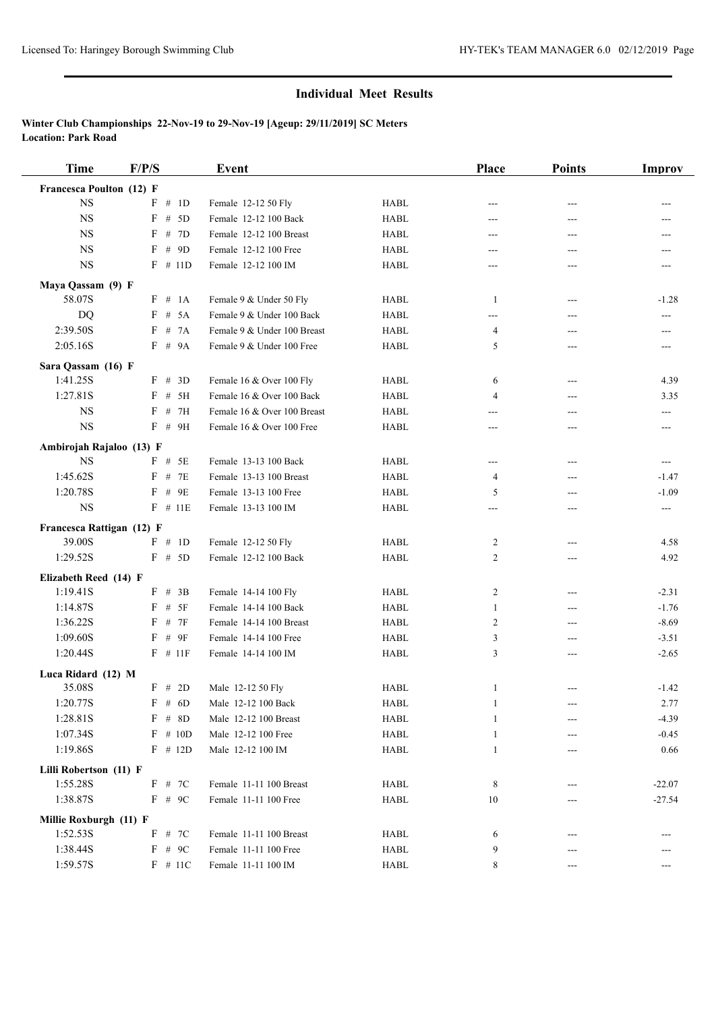| <b>Time</b>                    | F/P/S                 | <b>Event</b>                |             | Place          | <b>Points</b> | <b>Improv</b>                       |
|--------------------------------|-----------------------|-----------------------------|-------------|----------------|---------------|-------------------------------------|
| Francesca Poulton (12) F       |                       |                             |             |                |               |                                     |
| $_{\rm NS}$                    | F # 1D                | Female 12-12 50 Fly         | <b>HABL</b> | ---            | ---           | ---                                 |
| <b>NS</b>                      | $\mathbf F$<br># $5D$ | Female 12-12 100 Back       | <b>HABL</b> | ---            | ---           | ---                                 |
| <b>NS</b>                      | # 7D<br>F             | Female 12-12 100 Breast     | <b>HABL</b> | ---            | $---$         | ---                                 |
| <b>NS</b>                      | $F$ # 9D              | Female 12-12 100 Free       | <b>HABL</b> | ---            | ---           | ---                                 |
| <b>NS</b>                      | $F$ # 11D             | Female 12-12 100 IM         | <b>HABL</b> | ---            | ---           | ---                                 |
| Maya Qassam (9) F              |                       |                             |             |                |               |                                     |
| 58.07S                         | F # 1A                | Female 9 & Under 50 Fly     | <b>HABL</b> | -1             | $---$         | $-1.28$                             |
| <b>DQ</b>                      | F # 5A                | Female 9 & Under 100 Back   | <b>HABL</b> | ---            | ---           | ---                                 |
| 2:39.50S                       | F # 7A                | Female 9 & Under 100 Breast | <b>HABL</b> | 4              | ---           | $---$                               |
| 2:05.16S                       | F # 9A                | Female 9 & Under 100 Free   | <b>HABL</b> | 5              | ---           | ---                                 |
|                                |                       |                             |             |                |               |                                     |
| Sara Qassam (16) F<br>1:41.25S | F # 3D                | Female 16 & Over 100 Fly    | <b>HABL</b> | 6              | $---$         | 4.39                                |
| 1:27.81S                       | $F$ # 5H              | Female 16 & Over 100 Back   | <b>HABL</b> | 4              | ---           | 3.35                                |
| <b>NS</b>                      | $F$ # 7H              | Female 16 & Over 100 Breast | <b>HABL</b> |                |               |                                     |
| <b>NS</b>                      | $F$ # 9H              | Female 16 & Over 100 Free   | <b>HABL</b> | ---<br>---     | ---<br>---    | ---<br>---                          |
|                                |                       |                             |             |                |               |                                     |
| Ambirojah Rajaloo (13) F       |                       |                             |             |                |               |                                     |
| $_{\rm NS}$                    | $F$ # 5E              | Female 13-13 100 Back       | <b>HABL</b> | ---            | ---           | $\hspace{0.05cm}---\hspace{0.05cm}$ |
| 1:45.62S                       | $F$ # 7E              | Female 13-13 100 Breast     | <b>HABL</b> | 4              | ---           | $-1.47$                             |
| 1:20.78S                       | $F$ # 9E              | Female 13-13 100 Free       | <b>HABL</b> | 5              | ---           | $-1.09$                             |
| $_{\rm NS}$                    | $F$ # 11E             | Female 13-13 100 IM         | <b>HABL</b> | ---            | ---           | $\hspace{0.05cm}---\hspace{0.05cm}$ |
| Francesca Rattigan (12) F      |                       |                             |             |                |               |                                     |
| 39.00S                         | F # 1D                | Female 12-12 50 Fly         | <b>HABL</b> | $\overline{c}$ | $---$         | 4.58                                |
| 1:29.52S                       | F # 5D                | Female 12-12 100 Back       | <b>HABL</b> | $\overline{c}$ | ---           | 4.92                                |
| Elizabeth Reed (14) F          |                       |                             |             |                |               |                                     |
| 1:19.41S                       | $F$ # 3B              | Female 14-14 100 Fly        | <b>HABL</b> | $\overline{c}$ | ---           | $-2.31$                             |
| 1:14.87S                       | $F$ # 5F              | Female 14-14 100 Back       | <b>HABL</b> | 1              | ---           | $-1.76$                             |
| 1:36.22S                       | # 7F<br>F             | Female 14-14 100 Breast     | <b>HABL</b> | $\overline{c}$ | ---           | $-8.69$                             |
| 1:09.60S                       | $#$ 9F<br>F           | Female 14-14 100 Free       | HABL        | 3              | ---           | $-3.51$                             |
| 1:20.44S                       | $F$ # 11F             | Female 14-14 100 IM         | <b>HABL</b> | 3              | ---           | $-2.65$                             |
| Luca Ridard (12) M             |                       |                             |             |                |               |                                     |
| 35.08S                         | F # 2D                | Male 12-12 50 Fly           | <b>HABL</b> | 1              | $---$         | $-1.42$                             |
| 1:20.77S                       | $F$ # 6D              | Male 12-12 100 Back         | HABL        | 1              | ---           | 2.77                                |
| 1:28.81S                       | $F$ # 8D              | Male 12-12 100 Breast       | HABL        | 1              |               | $-4.39$                             |
| 1:07.34S                       | $F$ # 10D             | Male 12-12 100 Free         | HABL        | 1              |               | $-0.45$                             |
| 1:19.86S                       | $F$ # 12D             | Male 12-12 100 IM           | <b>HABL</b> | 1              |               | 0.66                                |
| Lilli Robertson (11) F         |                       |                             |             |                |               |                                     |
| 1:55.28S                       | F # 7C                | Female 11-11 100 Breast     | HABL        | 8              |               | $-22.07$                            |
| 1:38.87S                       | $F$ # 9C              | Female 11-11 100 Free       | HABL        | 10             |               | $-27.54$                            |
|                                |                       |                             |             |                | ---           |                                     |
| Millie Roxburgh (11) F         |                       |                             |             |                |               |                                     |
| 1:52.53S                       | F # 7C                | Female 11-11 100 Breast     | HABL        | 6              | ---           |                                     |
| 1:38.44S                       | F # 9C                | Female 11-11 100 Free       | HABL        | 9              | ---           |                                     |
| 1:59.57S                       | $F \# 11C$            | Female 11-11 100 IM         | HABL        | 8              | ---           | ---                                 |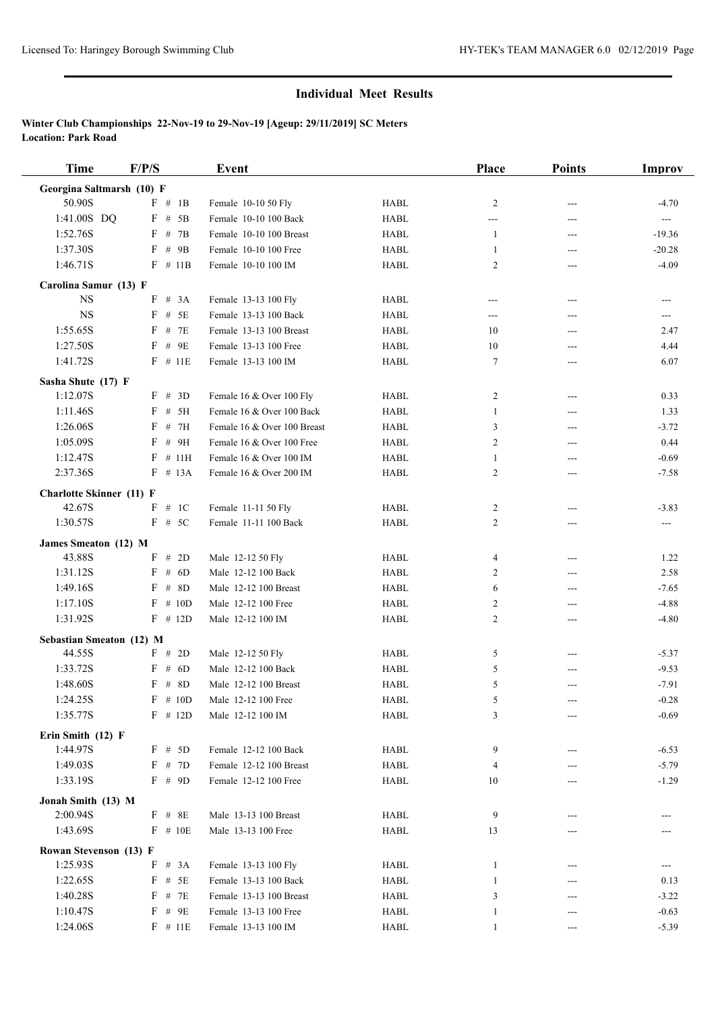| <b>Time</b>                     | F/P/S       | Event                       |             | <b>Place</b>   | <b>Points</b> | <b>Improv</b> |
|---------------------------------|-------------|-----------------------------|-------------|----------------|---------------|---------------|
| Georgina Saltmarsh (10) F       |             |                             |             |                |               |               |
| 50.90S                          | F # 1B      | Female 10-10 50 Fly         | <b>HABL</b> | 2              |               | $-4.70$       |
| 1:41.00S DQ                     | $F$ # 5B    | Female 10-10 100 Back       | <b>HABL</b> | ---            | ---           | $\sim$ $\sim$ |
| 1:52.76S                        | F # 7B      | Female 10-10 100 Breast     | <b>HABL</b> | -1             | $---$         | $-19.36$      |
| 1:37.30S                        | $F$ # 9B    | Female 10-10 100 Free       | <b>HABL</b> | 1              | ---           | $-20.28$      |
| 1:46.71S                        | $F \# 11B$  | Female 10-10 100 IM         | <b>HABL</b> | 2              | ---           | $-4.09$       |
| Carolina Samur (13) F           |             |                             |             |                |               |               |
| <b>NS</b>                       | F # 3A      | Female 13-13 100 Fly        | <b>HABL</b> | ---            | $---$         | $---$         |
| <b>NS</b>                       | $F \# 5E$   | Female 13-13 100 Back       | <b>HABL</b> | ---            | ---           | $\cdots$      |
| 1:55.65S                        | # 7E<br>F   | Female 13-13 100 Breast     | <b>HABL</b> | 10             | ---           | 2.47          |
| 1:27.50S                        | $F$ # 9E    | Female 13-13 100 Free       | <b>HABL</b> | 10             | ---           | 4.44          |
| 1:41.72S                        | $F$ # 11E   | Female 13-13 100 IM         | <b>HABL</b> | 7              | ---           | 6.07          |
|                                 |             |                             |             |                |               |               |
| Sasha Shute (17) F              |             |                             |             |                |               |               |
| 1:12.07S                        | F # 3D      | Female 16 & Over 100 Fly    | <b>HABL</b> | 2              | $---$         | 0.33          |
| 1:11.46S                        | F # 5H      | Female 16 & Over 100 Back   | <b>HABL</b> | $\mathbf{1}$   | ---           | 1.33          |
| 1:26.06S                        | F<br># 7H   | Female 16 & Over 100 Breast | <b>HABL</b> | 3              | ---           | $-3.72$       |
| 1:05.09S                        | # 9H<br>F   | Female 16 & Over 100 Free   | <b>HABL</b> | 2              | $---$         | 0.44          |
| 1:12.47S                        | $F$ # 11H   | Female 16 & Over 100 IM     | <b>HABL</b> | 1              | ---           | $-0.69$       |
| 2:37.36S                        | $F$ # 13A   | Female 16 & Over 200 IM     | <b>HABL</b> | $\overline{c}$ | ---           | $-7.58$       |
| <b>Charlotte Skinner</b> (11) F |             |                             |             |                |               |               |
| 42.67S                          | F # 1C      | Female 11-11 50 Fly         | <b>HABL</b> | 2              | ---           | $-3.83$       |
| 1:30.57S                        | $F \# 5C$   | Female 11-11 100 Back       | <b>HABL</b> | 2              | $---$         | $---$         |
| James Smeaton (12) M            |             |                             |             |                |               |               |
| 43.88S                          | # $2D$<br>F | Male 12-12 50 Fly           | <b>HABL</b> | 4              | $---$         | 1.22          |
| 1:31.12S                        | F<br># $6D$ | Male 12-12 100 Back         | <b>HABL</b> | 2              | ---           | 2.58          |
| 1:49.16S                        | # 8D<br>F   | Male 12-12 100 Breast       | <b>HABL</b> | 6              | ---           | $-7.65$       |
| 1:17.10S                        | $F \# 10D$  | Male 12-12 100 Free         | <b>HABL</b> | 2              | ---           | $-4.88$       |
| 1:31.92S                        | $F$ # 12D   | Male 12-12 100 IM           | <b>HABL</b> | $\overline{c}$ | ---           | $-4.80$       |
|                                 |             |                             |             |                |               |               |
| Sebastian Smeaton (12) M        |             |                             |             |                |               |               |
| 44.55S                          | F # 2D      | Male 12-12 50 Fly           | <b>HABL</b> | 5              | $---$         | $-5.37$       |
| 1:33.72S                        | F # 6D      | Male 12-12 100 Back         | <b>HABL</b> | 5              | ---           | $-9.53$       |
| 1:48.60S                        | $F$ # 8D    | Male 12-12 100 Breast       | <b>HABL</b> | 5              | ---           | $-7.91$       |
| 1:24.25S                        | $F \# 10D$  | Male 12-12 100 Free         | <b>HABL</b> | 5              |               | $-0.28$       |
| 1:35.77S                        | $F$ # 12D   | Male 12-12 100 IM           | HABL        | 3              | $---$         | $-0.69$       |
| Erin Smith (12) F               |             |                             |             |                |               |               |
| 1:44.97S                        | F # 5D      | Female 12-12 100 Back       | HABL        | 9              | ---           | $-6.53$       |
| 1:49.03S                        | F # 7D      | Female 12-12 100 Breast     | <b>HABL</b> | 4              |               | $-5.79$       |
| 1:33.19S                        | $F$ # 9D    | Female 12-12 100 Free       | HABL        | 10             |               | $-1.29$       |
| Jonah Smith (13) M              |             |                             |             |                |               |               |
| 2:00.94S                        | $F$ # 8E    | Male 13-13 100 Breast       | HABL        | 9              |               |               |
| 1:43.69S                        | $F \# 10E$  | Male 13-13 100 Free         | HABL        | 13             |               |               |
| Rowan Stevenson (13) F          |             |                             |             |                |               |               |
| 1:25.93S                        | F # 3A      | Female 13-13 100 Fly        |             |                |               |               |
|                                 | $F$ # $5E$  | Female 13-13 100 Back       | HABL        | 1<br>1         |               |               |
| 1:22.65S                        |             |                             | HABL        |                |               | 0.13          |
| 1:40.28S                        | # 7E<br>F   | Female 13-13 100 Breast     | HABL        | 3              |               | $-3.22$       |
| 1:10.47S                        | $F$ # 9E    | Female 13-13 100 Free       | HABL        | 1              |               | $-0.63$       |
| 1:24.06S                        | $F$ # 11E   | Female 13-13 100 IM         | HABL        | $\mathbf{1}$   | ---           | $-5.39$       |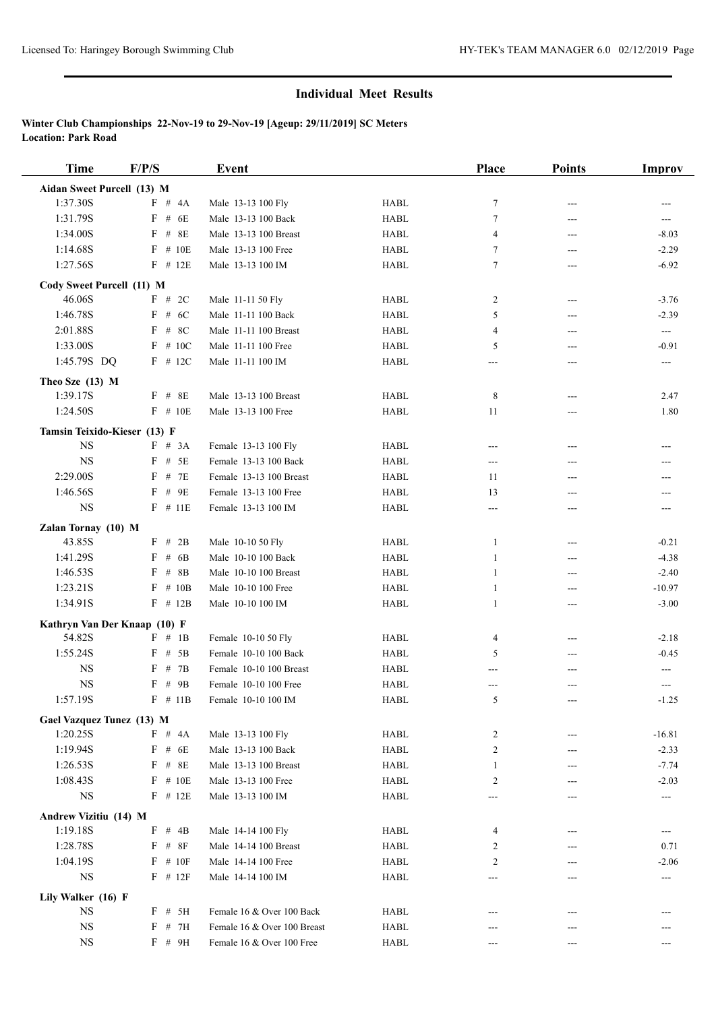| <b>Time</b>                     | F/P/S        | Event                       |                                | Place        | <b>Points</b> | <b>Improv</b>              |
|---------------------------------|--------------|-----------------------------|--------------------------------|--------------|---------------|----------------------------|
| Aidan Sweet Purcell (13) M      |              |                             |                                |              |               |                            |
| 1:37.30S                        | F # 4A       | Male 13-13 100 Fly          | <b>HABL</b>                    | $\tau$       | ---           | ---                        |
| 1:31.79S                        | $F$ # 6E     | Male 13-13 100 Back         | <b>HABL</b>                    | $\tau$       | ---           | ---                        |
| 1:34.00S                        | $F$ # 8E     | Male 13-13 100 Breast       | <b>HABL</b>                    | 4            | ---           | $-8.03$                    |
| 1:14.68S                        | $F$ # 10E    | Male 13-13 100 Free         | <b>HABL</b>                    | 7            | ---           | $-2.29$                    |
| 1:27.56S                        | $F$ # 12E    | Male 13-13 100 IM           | <b>HABL</b>                    | 7            | ---           | $-6.92$                    |
| Cody Sweet Purcell (11) M       |              |                             |                                |              |               |                            |
| 46.06S                          | F # 2C       | Male 11-11 50 Fly           | <b>HABL</b>                    | 2            | ---           | $-3.76$                    |
| 1:46.78S                        | $F$ # 6C     | Male 11-11 100 Back         | <b>HABL</b>                    | 5            | ---           | $-2.39$                    |
| 2:01.88S                        | $F$ # 8C     | Male 11-11 100 Breast       | <b>HABL</b>                    | 4            | $---$         | $\overline{a}$             |
| 1:33.00S                        | $F$ # 10C    | Male 11-11 100 Free         | <b>HABL</b>                    | 5            | ---           | $-0.91$                    |
| 1:45.79S DQ                     | $F$ # 12C    | Male 11-11 100 IM           | <b>HABL</b>                    | ---          | ---           | ---                        |
|                                 |              |                             |                                |              |               |                            |
| Theo Sze (13) M<br>1:39.17S     | $F$ # 8E     | Male 13-13 100 Breast       | <b>HABL</b>                    | 8            | ---           | 2.47                       |
| 1:24.50S                        | $F$ # 10E    | Male 13-13 100 Free         | <b>HABL</b>                    | 11           | ---           | 1.80                       |
|                                 |              |                             |                                |              |               |                            |
| Tamsin Teixido-Kieser (13) F    |              |                             |                                |              |               |                            |
| <b>NS</b>                       | F # 3A       | Female 13-13 100 Fly        | <b>HABL</b>                    | ---          | ---           |                            |
| <b>NS</b>                       | $F$ # 5E     | Female 13-13 100 Back       | <b>HABL</b>                    | $---$        | $---$         | ---                        |
| 2:29.00S                        | $F$ # 7E     | Female 13-13 100 Breast     | <b>HABL</b>                    | 11           | $---$         | ---                        |
| 1:46.56S                        | $F$ # 9E     | Female 13-13 100 Free       | <b>HABL</b>                    | 13           | ---           | ---                        |
| $_{\rm NS}$                     | $F$ # 11E    | Female 13-13 100 IM         | <b>HABL</b>                    | ---          | $---$         | $---$                      |
| Zalan Tornay (10) M             |              |                             |                                |              |               |                            |
| 43.85S                          | $F$ # 2B     | Male 10-10 50 Fly           | <b>HABL</b>                    | 1            | ---           | $-0.21$                    |
| 1:41.29S                        | $F$ # 6B     | Male 10-10 100 Back         | <b>HABL</b>                    | 1            | ---           | $-4.38$                    |
| 1:46.53S                        | $F$ # 8B     | Male 10-10 100 Breast       | <b>HABL</b>                    | 1            | $---$         | $-2.40$                    |
| 1:23.21S                        | $F \# 10B$   | Male 10-10 100 Free         | <b>HABL</b>                    | $\mathbf{1}$ | ---           | $-10.97$                   |
| 1:34.91S                        | $F$ # 12B    | Male 10-10 100 IM           | <b>HABL</b>                    | 1            | ---           | $-3.00$                    |
| Kathryn Van Der Knaap (10) F    |              |                             |                                |              |               |                            |
| 54.82S                          | F # 1B       | Female 10-10 50 Fly         | <b>HABL</b>                    | 4            | ---           | $-2.18$                    |
| 1:55.24S                        | $F$ # 5B     | Female 10-10 100 Back       | <b>HABL</b>                    | 5            | ---           | $-0.45$                    |
| <b>NS</b>                       | $F$ # 7B     | Female 10-10 100 Breast     | <b>HABL</b>                    | ---          |               | $\qquad \qquad \text{---}$ |
| <b>NS</b>                       | $F$ # 9B     | Female 10-10 100 Free       | <b>HABL</b>                    | ---          | ---           | $---$                      |
| 1:57.19S                        | $F \# 11B$   | Female 10-10 100 IM         | <b>HABL</b>                    | 5            |               | $-1.25$                    |
| Gael Vazquez Tunez (13) M       |              |                             |                                |              |               |                            |
| 1:20.25S                        | F # 4A       | Male 13-13 100 Fly          | ${\rm H}{\bf A}{\bf B}{\bf L}$ | 2            |               | $-16.81$                   |
| 1:19.94S                        | $F$ # 6E     | Male 13-13 100 Back         | <b>HABL</b>                    | 2            |               | $-2.33$                    |
| 1:26.53S                        | $F$ # 8E     | Male 13-13 100 Breast       | <b>HABL</b>                    | 1            | ---           | $-7.74$                    |
| 1:08.43S                        | $F$ # 10E    | Male 13-13 100 Free         | <b>HABL</b>                    | 2            |               | $-2.03$                    |
| $_{\rm NS}$                     | $F$ # 12E    | Male 13-13 100 IM           | <b>HABL</b>                    |              |               | $\hspace{0.05cm} \ldots$   |
| Andrew Vizitiu (14) M           |              |                             |                                |              |               |                            |
| 1:19.18S                        | $F$ # 4B     | Male 14-14 100 Fly          | HABL                           | 4            |               | $---$                      |
| 1:28.78S                        | $F$ # $8F$   | Male 14-14 100 Breast       | HABL                           | 2            |               | 0.71                       |
| 1:04.19S                        | $F$ # 10F    | Male 14-14 100 Free         | HABL                           | 2            |               | $-2.06$                    |
| <b>NS</b>                       | $F$ # 12 $F$ | Male 14-14 100 IM           | HABL                           | $---$        | ---           | $---$                      |
|                                 |              |                             |                                |              |               |                            |
| Lily Walker (16) F<br><b>NS</b> | $F$ # 5H     | Female 16 & Over 100 Back   | HABL                           |              | ---           |                            |
| $_{\rm NS}$                     | $F$ # 7H     | Female 16 & Over 100 Breast | <b>HABL</b>                    |              |               |                            |
| <b>NS</b>                       | F # 9H       | Female 16 & Over 100 Free   | <b>HABL</b>                    |              |               | $---$                      |
|                                 |              |                             |                                | $---$        | ---           |                            |